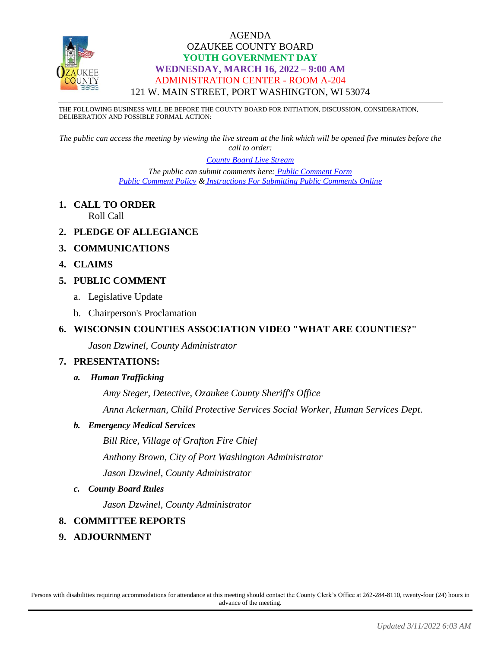

THE FOLLOWING BUSINESS WILL BE BEFORE THE COUNTY BOARD FOR INITIATION, DISCUSSION, CONSIDERATION, DELIBERATION AND POSSIBLE FORMAL ACTION:

*The public can access the meeting by viewing the live stream at the link which will be opened five minutes before the call to order:*

### *[County Board Live Stream](https://www.youtube.com/channel/UCQ16yLTEJmJo_h02WDDqcqg)*

*The public can submit comments here: [Public Comment Form](https://www.co.ozaukee.wi.us/FormCenter/Email-Forms-28/Email-Public-Comment-300) [Public Comment Policy](https://www.co.ozaukee.wi.us/2663/Public-Comments-at-In-Person-Meetings) & [Instructions For Submitting Public Comments Online](https://www.co.ozaukee.wi.us/2645/Public-Comments-at-Zoom-Meetings)*

**1. CALL TO ORDER**

Roll Call

- **2. PLEDGE OF ALLEGIANCE**
- **3. COMMUNICATIONS**
- **4. CLAIMS**

### **5. PUBLIC COMMENT**

- a. Legislative Update
- b. Chairperson's Proclamation

### **6. WISCONSIN COUNTIES ASSOCIATION VIDEO "WHAT ARE COUNTIES?"**

*Jason Dzwinel, County Administrator*

### **7. PRESENTATIONS:**

*a. Human Trafficking*

*Amy Steger, Detective, Ozaukee County Sheriff's Office Anna Ackerman, Child Protective Services Social Worker, Human Services Dept*.

### *b. Emergency Medical Services*

*Bill Rice, Village of Grafton Fire Chief Anthony Brown, City of Port Washington Administrator Jason Dzwinel, County Administrator*

### *c. County Board Rules*

*Jason Dzwinel, County Administrator*

### **8. COMMITTEE REPORTS**

**9. ADJOURNMENT**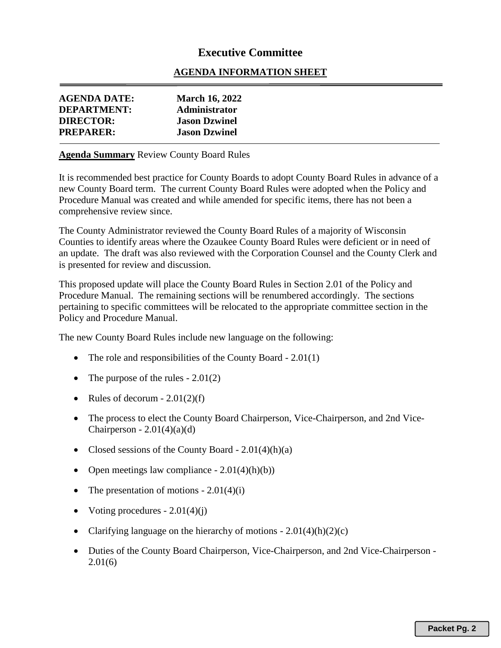# **Executive Committee**

## **AGENDA INFORMATION SHEET**

| <b>AGENDA DATE:</b><br>DEPARTMENT:   | <b>March 16, 2022</b><br><b>Administrator</b> |  |
|--------------------------------------|-----------------------------------------------|--|
| <b>DIRECTOR:</b><br><b>PREPARER:</b> | <b>Jason Dzwinel</b><br><b>Jason Dzwinel</b>  |  |

### **Agenda Summary** Review County Board Rules

It is recommended best practice for County Boards to adopt County Board Rules in advance of a new County Board term. The current County Board Rules were adopted when the Policy and Procedure Manual was created and while amended for specific items, there has not been a comprehensive review since.

The County Administrator reviewed the County Board Rules of a majority of Wisconsin Counties to identify areas where the Ozaukee County Board Rules were deficient or in need of an update. The draft was also reviewed with the Corporation Counsel and the County Clerk and is presented for review and discussion.

This proposed update will place the County Board Rules in Section 2.01 of the Policy and Procedure Manual. The remaining sections will be renumbered accordingly. The sections pertaining to specific committees will be relocated to the appropriate committee section in the Policy and Procedure Manual.

The new County Board Rules include new language on the following:

- The role and responsibilities of the County Board 2.01(1)
- The purpose of the rules  $-2.01(2)$
- Rules of decorum  $-2.01(2)(f)$
- The process to elect the County Board Chairperson, Vice-Chairperson, and 2nd Vice-Chairperson  $-2.01(4)(a)(d)$
- Closed sessions of the County Board  $2.01(4)(h)(a)$
- Open meetings law compliance  $-2.01(4)(h)(b)$
- The presentation of motions  $-2.01(4)(i)$
- Voting procedures  $-2.01(4)(i)$
- Clarifying language on the hierarchy of motions  $-2.01(4)(h)(2)(c)$
- Duties of the County Board Chairperson, Vice-Chairperson, and 2nd Vice-Chairperson -2.01(6)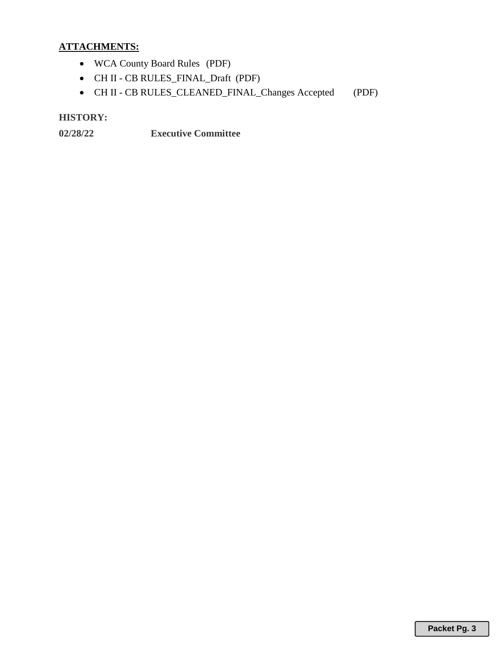# **ATTACHMENTS:**

- WCA County Board Rules (PDF)
- CH II CB RULES\_FINAL\_Draft (PDF)
- CH II CB RULES\_CLEANED\_FINAL\_Changes Accepted (PDF)

# **HISTORY:**

**02/28/22 Executive Committee**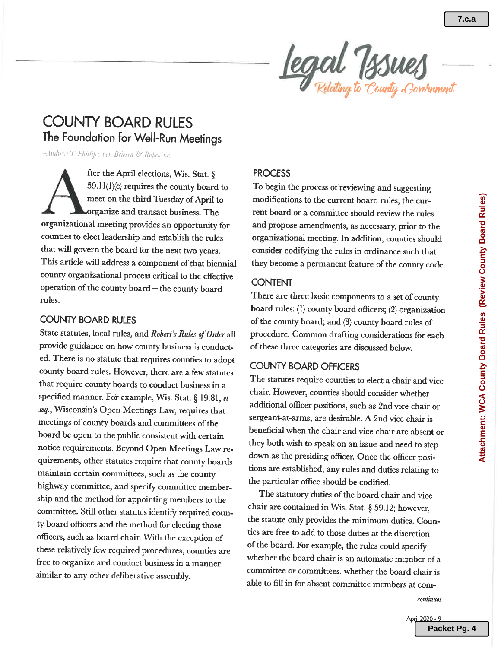

# **COUNTY BOARD RULES** The Foundation for Well-Run Meetings

Andrew T. Phillips, von Briesen & Roper, s.c.

fter the April elections, Wis. Stat. § 59.11(1)(c) requires the county board to meet on the third Tuesday of April to organize and transact business. The organizational meeting provides an opportunity for counties to elect leadership and establish the rules that will govern the board for the next two years. This article will address a component of that biennial county organizational process critical to the effective operation of the county board - the county board rules.

### **COUNTY BOARD RULES**

State statutes, local rules, and Robert's Rules of Order all provide guidance on how county business is conducted. There is no statute that requires counties to adopt county board rules. However, there are a few statutes that require county boards to conduct business in a specified manner. For example, Wis. Stat. § 19.81, et seq., Wisconsin's Open Meetings Law, requires that meetings of county boards and committees of the board be open to the public consistent with certain notice requirements. Beyond Open Meetings Law requirements, other statutes require that county boards maintain certain committees, such as the county highway committee, and specify committee membership and the method for appointing members to the committee. Still other statutes identify required county board officers and the method for electing those officers, such as board chair. With the exception of these relatively few required procedures, counties are free to organize and conduct business in a manner similar to any other deliberative assembly.

### **PROCESS**

To begin the process of reviewing and suggesting modifications to the current board rules, the current board or a committee should review the rules and propose amendments, as necessary, prior to the organizational meeting. In addition, counties should consider codifying the rules in ordinance such that they become a permanent feature of the county code.

### **CONTENT**

There are three basic components to a set of county board rules: (1) county board officers; (2) organization of the county board; and (3) county board rules of procedure. Common drafting considerations for each of these three categories are discussed below.

### **COUNTY BOARD OFFICERS**

The statutes require counties to elect a chair and vice chair. However, counties should consider whether additional officer positions, such as 2nd vice chair or sergeant-at-arms, are desirable. A 2nd vice chair is beneficial when the chair and vice chair are absent or they both wish to speak on an issue and need to step down as the presiding officer. Once the officer positions are established, any rules and duties relating to the particular office should be codified.

The statutory duties of the board chair and vice chair are contained in Wis. Stat. § 59.12; however, the statute only provides the minimum duties. Counties are free to add to those duties at the discretion of the board. For example, the rules could specify whether the board chair is an automatic member of a committee or committees, whether the board chair is able to fill in for absent committee members at com-

continues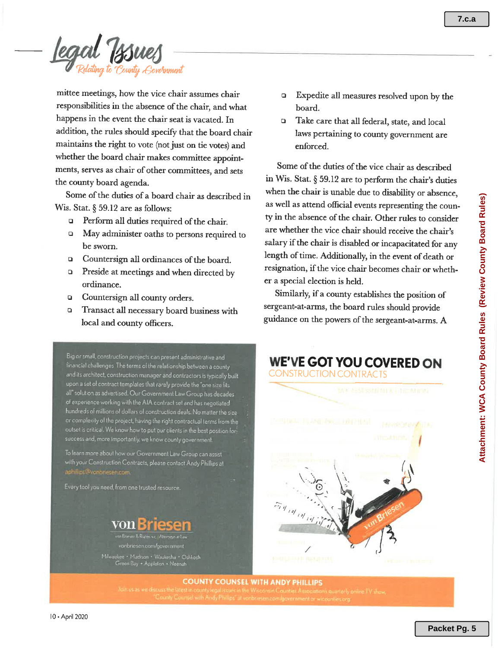ounty Eorernment

mittee meetings, how the vice chair assumes chair responsibilities in the absence of the chair, and what happens in the event the chair seat is vacated. In addition, the rules should specify that the board chair maintains the right to vote (not just on tie votes) and whether the board chair makes committee appointments, serves as chair of other committees, and sets the county board agenda.

Some of the duties of a board chair as described in Wis. Stat.  $\S 59.12$  are as follows:

- **Q** Perform all duties required of the chair.
- May administer oaths to persons required to  $\Box$ be sworn.
- Countersign all ordinances of the board.  $\Box$
- Preside at meetings and when directed by  $\Box$ ordinance.
- **Q** Countersign all county orders.
- $\Box$ Transact all necessary board business with local and county officers.

Big or small, construction projects can present administrative and financial challenges The terms of the relationship between a county and its architect, construction manager and contractors is typically built upon a set of contract templates that rarely provide the "one size fits solution as advertised. Our Government Law Group has decades of experience working with the AIA contract set and has negotiated hundreds of millions of dollars of construction deals. No matter the size or complexity of the project, having the right contractual terms from the outset is critical. We know how to put our clients in the best position for success and, more importantly, we know county government.

To learn more about how our Government Law Group can assist with your Construction Contracts, please contact Andy Phillips at

Every tool you need, from one trusted resource.



vonbriesen.com/government

aukee • Madison • Waukesha • Oshkosł<br>• Green Bay • Appleton • Neenah

- Expedite all measures resolved upon by the board.
- Take care that all federal, state, and local  $\Box$ laws pertaining to county government are enforced.

Some of the duties of the vice chair as described in Wis. Stat. § 59.12 are to perform the chair's duties when the chair is unable due to disability or absence, as well as attend official events representing the county in the absence of the chair. Other rules to consider are whether the vice chair should receive the chair's salary if the chair is disabled or incapacitated for any length of time. Additionally, in the event of death or resignation, if the vice chair becomes chair or whether a special election is held.

Similarly, if a county establishes the position of sergeant-at-arms, the board rules should provide guidance on the powers of the sergeant-at-arms. A

**WE'VE GOT YOU COVERED ON** 



**COUNTY COUNSEL WITH ANDY PHILLIPS**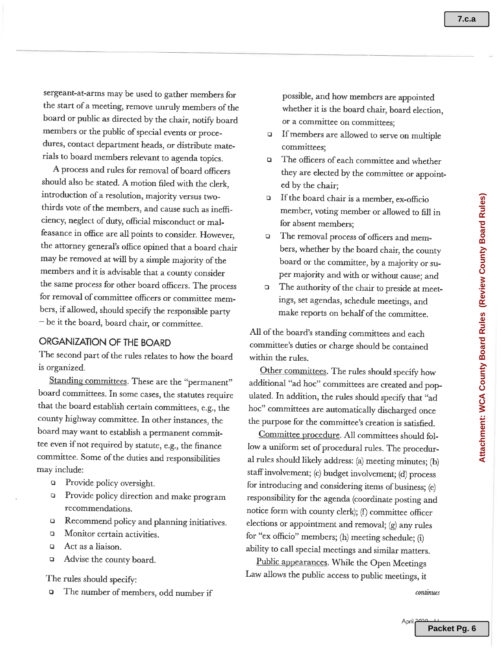sergeant-at-arms may be used to gather members for the start of a meeting, remove unruly members of the board or public as directed by the chair, notify board members or the public of special events or procedures, contact department heads, or distribute materials to board members relevant to agenda topics.

A process and rules for removal of board officers should also be stated. A motion filed with the clerk, introduction of a resolution, majority versus twothirds vote of the members, and cause such as inefficiency, neglect of duty, official misconduct or malfeasance in office are all points to consider. However, the attorney general's office opined that a board chair may be removed at will by a simple majority of the members and it is advisable that a county consider the same process for other board officers. The process for removal of committee officers or committee members, if allowed, should specify the responsible party - be it the board, board chair, or committee.

# ORGANIZATION OF THE BOARD

The second part of the rules relates to how the board is organized.

Standing committees. These are the "permanent" board committees. In some cases, the statutes require that the board establish certain committees, e.g., the county highway committee. In other instances, the board may want to establish a permanent committee even if not required by statute, e.g., the finance committee. Some of the duties and responsibilities may include:

- $\Box$ Provide policy oversight.
- Provide policy direction and make program  $\Box$ recommendations.
- Recommend policy and planning initiatives.  $\Box$
- $\Box$ Monitor certain activities.
- Act as a liaison.  $\Box$
- Advise the county board.  $\Box$

The rules should specify:

The number of members, odd number if  $\Box$ 

possible, and how members are appointed whether it is the board chair, board election, or a committee on committees;

- If members are allowed to serve on multiple  $\blacksquare$ committees:
- The officers of each committee and whether  $\Box$ they are elected by the committee or appointed by the chair;
- If the board chair is a member, ex-officio  $\Box$ member, voting member or allowed to fill in for absent members;
- The removal process of officers and mem- $\Box$ bers, whether by the board chair, the county board or the committee, by a majority or super majority and with or without cause: and
- The authority of the chair to preside at meet- $\Box$ ings, set agendas, schedule meetings, and make reports on behalf of the committee.

All of the board's standing committees and each committee's duties or charge should be contained within the rules.

Other committees. The rules should specify how additional "ad hoc" committees are created and populated. In addition, the rules should specify that "ad hoc" committees are automatically discharged once the purpose for the committee's creation is satisfied.

Committee procedure. All committees should follow a uniform set of procedural rules. The procedural rules should likely address: (a) meeting minutes; (b) staff involvement; (c) budget involvement; (d) process for introducing and considering items of business; (e) responsibility for the agenda (coordinate posting and notice form with county clerk); (f) committee officer elections or appointment and removal; (g) any rules for "ex officio" members; (h) meeting schedule; (i) ability to call special meetings and similar matters.

Public appearances. While the Open Meetings Law allows the public access to public meetings, it

continues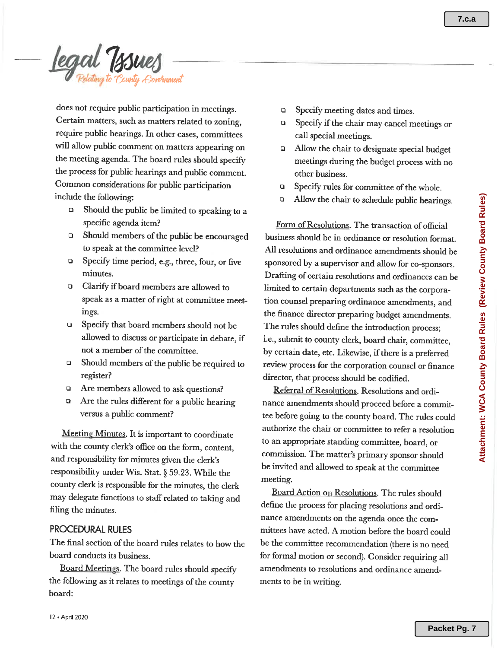legal Tssues

does not require public participation in meetings. Certain matters, such as matters related to zoning, require public hearings. In other cases, committees will allow public comment on matters appearing on the meeting agenda. The board rules should specify the process for public hearings and public comment. Common considerations for public participation include the following:

- $\Box$ Should the public be limited to speaking to a specific agenda item?
- Should members of the public be encouraged  $\Box$ to speak at the committee level?
- $\Box$ Specify time period, e.g., three, four, or five minutes.
- Clarify if board members are allowed to  $\Box$ speak as a matter of right at committee meetings.
- Specify that board members should not be  $\Box$ allowed to discuss or participate in debate, if not a member of the committee.
- Should members of the public be required to  $\Box$ register?
- Are members allowed to ask questions?  $\Box$
- Are the rules different for a public hearing  $\Box$ versus a public comment?

Meeting Minutes. It is important to coordinate with the county clerk's office on the form, content, and responsibility for minutes given the clerk's responsibility under Wis. Stat. § 59.23. While the county clerk is responsible for the minutes, the clerk may delegate functions to staff related to taking and filing the minutes.

### **PROCEDURAL RULES**

The final section of the board rules relates to how the board conducts its business.

Board Meetings. The board rules should specify the following as it relates to meetings of the county board:

- Specify meeting dates and times.  $\Box$
- Specify if the chair may cancel meetings or  $\Box$ call special meetings.
- Allow the chair to designate special budget  $\Box$ meetings during the budget process with no other business.
- Specify rules for committee of the whole.  $\Box$
- $\Box$ Allow the chair to schedule public hearings.

Form of Resolutions. The transaction of official business should be in ordinance or resolution format. All resolutions and ordinance amendments should be sponsored by a supervisor and allow for co-sponsors. Drafting of certain resolutions and ordinances can be limited to certain departments such as the corporation counsel preparing ordinance amendments, and the finance director preparing budget amendments. The rules should define the introduction process; i.e., submit to county clerk, board chair, committee, by certain date, etc. Likewise, if there is a preferred review process for the corporation counsel or finance director, that process should be codified.

Referral of Resolutions. Resolutions and ordinance amendments should proceed before a committee before going to the county board. The rules could authorize the chair or committee to refer a resolution to an appropriate standing committee, board, or commission. The matter's primary sponsor should be invited and allowed to speak at the committee meeting.

Board Action on Resolutions. The rules should define the process for placing resolutions and ordinance amendments on the agenda once the committees have acted. A motion before the board could be the committee recommendation (there is no need for formal motion or second). Consider requiring all amendments to resolutions and ordinance amendments to be in writing.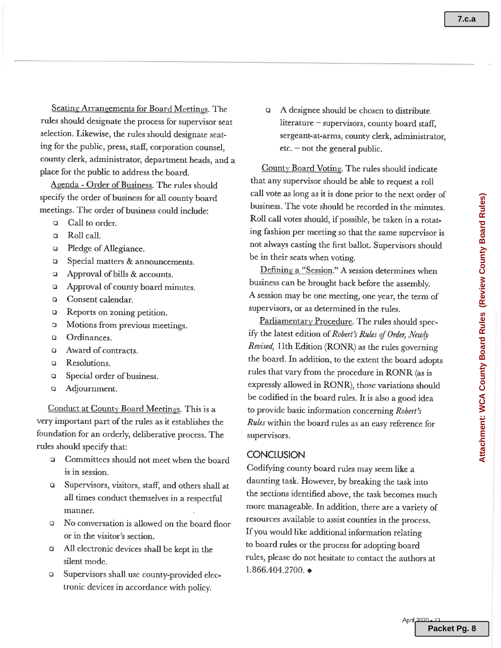**7.c.a**

Seating Arrangements for Board Meetings. The rules should designate the process for supervisor seat selection. Likewise, the rules should designate seating for the public, press, staff, corporation counsel. county clerk, administrator, department heads, and a place for the public to address the board.

Agenda - Order of Business. The rules should specify the order of business for all county board meetings. The order of business could include:

- Call to order.  $\Box$
- Roll call.  $\Box$
- $\Box$ Pledge of Allegiance.
- Special matters & announcements.  $\Box$
- Approval of bills & accounts.  $\Box$
- Approval of county board minutes.  $\Box$
- Consent calendar.  $\Box$
- Reports on zoning petition.  $\Box$
- Motions from previous meetings.  $\Box$
- $\overline{Q}$ Ordinances.
- Award of contracts.  $\Box$
- Resolutions.  $\Box$
- Special order of business.  $\Box$
- Adjournment.  $\Box$

Conduct at County Board Meetings. This is a very important part of the rules as it establishes the foundation for an orderly, deliberative process. The rules should specify that:

- Committees should not meet when the board  $\Box$ is in session.
- Supervisors, visitors, staff, and others shall at  $\Box$ all times conduct themselves in a respectful manner.
- No conversation is allowed on the board floor or in the visitor's section.
- All electronic devices shall be kept in the  $\Box$ silent mode.
- Supervisors shall use county-provided elec- $\Box$ tronic devices in accordance with policy.

A designee should be chosen to distribute  $\Box$ literature  $-$  supervisors, county board staff, sergeant-at-arms, county clerk, administrator,  $etc.$  – not the general public.

County Board Voting. The rules should indicate that any supervisor should be able to request a roll call vote as long as it is done prior to the next order of business. The vote should be recorded in the minutes. Roll call votes should, if possible, be taken in a rotating fashion per meeting so that the same supervisor is not always casting the first ballot. Supervisors should be in their seats when voting.

Defining a "Session." A session determines when business can be brought back before the assembly. A session may be one meeting, one year, the term of supervisors, or as determined in the rules.

Parliamentary Procedure. The rules should specify the latest edition of Robert's Rules of Order, Newly Revised, 11th Edition (RONR) as the rules governing the board. In addition, to the extent the board adopts rules that vary from the procedure in RONR (as is expressly allowed in RONR), those variations should be codified in the board rules. It is also a good idea to provide basic information concerning Robert's Rules within the board rules as an easy reference for supervisors.

### **CONCLUSION**

Codifying county board rules may seem like a daunting task. However, by breaking the task into the sections identified above, the task becomes much more manageable. In addition, there are a variety of resources available to assist counties in the process. If you would like additional information relating to board rules or the process for adopting board rules, please do not hesitate to contact the authors at  $1.866.404.2700.$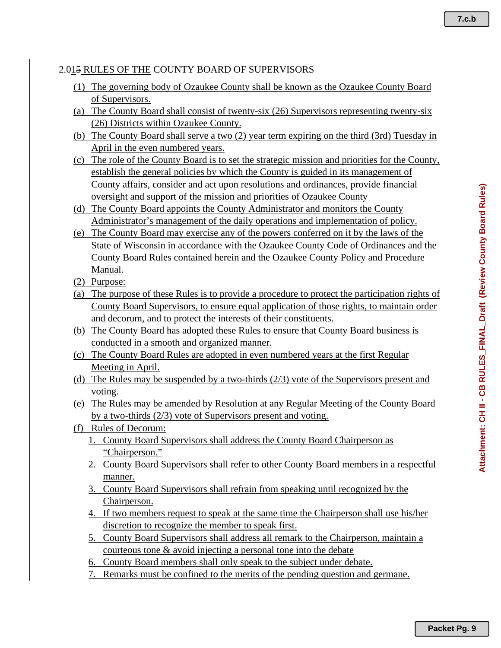**7.c.b**

# 2.015 RULES OF THE COUNTY BOARD OF SUPERVISORS

- (1) The governing body of Ozaukee County shall be known as the Ozaukee County Board of Supervisors.
- (a) The County Board shall consist of twenty-six (26) Supervisors representing twenty-six (26) Districts within Ozaukee County.
- (b) The County Board shall serve a two (2) year term expiring on the third (3rd) Tuesday in April in the even numbered years.
- (c) The role of the County Board is to set the strategic mission and priorities for the County, establish the general policies by which the County is guided in its management of County affairs, consider and act upon resolutions and ordinances, provide financial oversight and support of the mission and priorities of Ozaukee County
- (d) The County Board appoints the County Administrator and monitors the County Administrator's management of the daily operations and implementation of policy.
- (e) The County Board may exercise any of the powers conferred on it by the laws of the State of Wisconsin in accordance with the Ozaukee County Code of Ordinances and the County Board Rules contained herein and the Ozaukee County Policy and Procedure Manual.
- (2) Purpose:
- (a) The purpose of these Rules is to provide a procedure to protect the participation rights of County Board Supervisors, to ensure equal application of those rights, to maintain order and decorum, and to protect the interests of their constituents.
- (b) The County Board has adopted these Rules to ensure that County Board business is conducted in a smooth and organized manner.
- (c) The County Board Rules are adopted in even numbered years at the first Regular Meeting in April.
- (d) The Rules may be suspended by a two-thirds (2/3) vote of the Supervisors present and voting.
- (e) The Rules may be amended by Resolution at any Regular Meeting of the County Board by a two-thirds (2/3) vote of Supervisors present and voting.
- (f) Rules of Decorum:
	- 1. County Board Supervisors shall address the County Board Chairperson as "Chairperson."
	- 2. County Board Supervisors shall refer to other County Board members in a respectful manner.
	- 3. County Board Supervisors shall refrain from speaking until recognized by the Chairperson.
	- 4. If two members request to speak at the same time the Chairperson shall use his/her discretion to recognize the member to speak first.
	- 5. County Board Supervisors shall address all remark to the Chairperson, maintain a courteous tone & avoid injecting a personal tone into the debate
	- 6. County Board members shall only speak to the subject under debate.
	- 7. Remarks must be confined to the merits of the pending question and germane.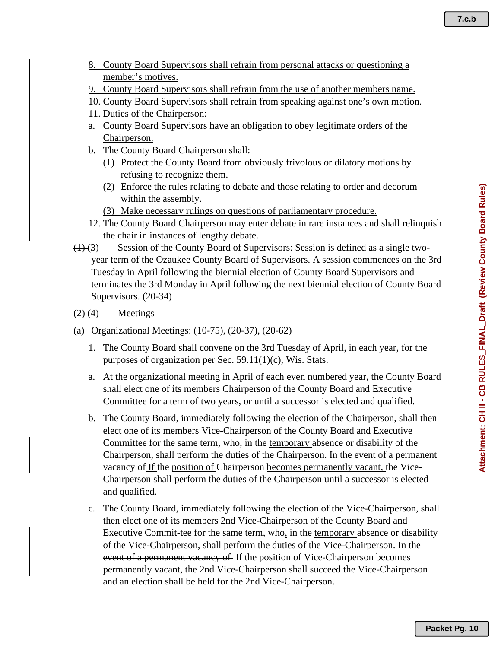- 8. County Board Supervisors shall refrain from personal attacks or questioning a member's motives.
- 9. County Board Supervisors shall refrain from the use of another members name.
- 10. County Board Supervisors shall refrain from speaking against one's own motion.
- 11. Duties of the Chairperson:
- a. County Board Supervisors have an obligation to obey legitimate orders of the Chairperson.
- b. The County Board Chairperson shall:
	- (1) Protect the County Board from obviously frivolous or dilatory motions by refusing to recognize them.
	- (2) Enforce the rules relating to debate and those relating to order and decorum within the assembly.
	- (3) Make necessary rulings on questions of parliamentary procedure.
- 12. The County Board Chairperson may enter debate in rare instances and shall relinquish the chair in instances of lengthy debate.
- $(1)$  (3) Session of the County Board of Supervisors: Session is defined as a single twoyear term of the Ozaukee County Board of Supervisors. A session commences on the 3rd Tuesday in April following the biennial election of County Board Supervisors and terminates the 3rd Monday in April following the next biennial election of County Board Supervisors. (20-34)
- $(2)$  (4) Meetings
- (a) Organizational Meetings: (10-75), (20-37), (20-62)
	- 1. The County Board shall convene on the 3rd Tuesday of April, in each year, for the purposes of organization per Sec. 59.11(1)(c), Wis. Stats.
	- a. At the organizational meeting in April of each even numbered year, the County Board shall elect one of its members Chairperson of the County Board and Executive Committee for a term of two years, or until a successor is elected and qualified.
	- b. The County Board, immediately following the election of the Chairperson, shall then elect one of its members Vice-Chairperson of the County Board and Executive Committee for the same term, who, in the temporary absence or disability of the Chairperson, shall perform the duties of the Chairperson. In the event of a permanent vacancy of If the position of Chairperson becomes permanently vacant, the Vice-Chairperson shall perform the duties of the Chairperson until a successor is elected and qualified.
	- c. The County Board, immediately following the election of the Vice-Chairperson, shall then elect one of its members 2nd Vice-Chairperson of the County Board and Executive Commit-tee for the same term, who, in the temporary absence or disability of the Vice-Chairperson, shall perform the duties of the Vice-Chairperson. In the event of a permanent vacancy of If the position of Vice-Chairperson becomes permanently vacant, the 2nd Vice-Chairperson shall succeed the Vice-Chairperson and an election shall be held for the 2nd Vice-Chairperson.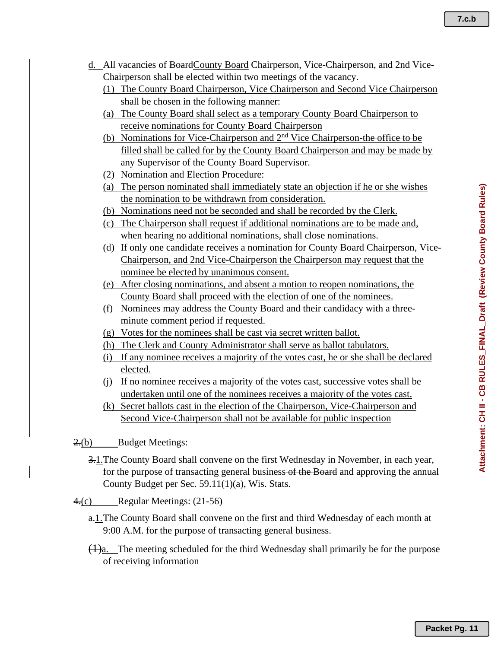**7.c.b**

- d. All vacancies of BoardCounty Board Chairperson, Vice-Chairperson, and 2nd Vice-Chairperson shall be elected within two meetings of the vacancy.
	- (1) The County Board Chairperson, Vice Chairperson and Second Vice Chairperson shall be chosen in the following manner:
	- (a) The County Board shall select as a temporary County Board Chairperson to receive nominations for County Board Chairperson
	- (b) Nominations for Vice-Chairperson and  $2<sup>nd</sup>$  Vice Chairperson-the office to be filled shall be called for by the County Board Chairperson and may be made by any Supervisor of the County Board Supervisor.
	- (2) Nomination and Election Procedure:
	- (a) The person nominated shall immediately state an objection if he or she wishes the nomination to be withdrawn from consideration.
	- (b) Nominations need not be seconded and shall be recorded by the Clerk.
	- (c) The Chairperson shall request if additional nominations are to be made and, when hearing no additional nominations, shall close nominations.
	- (d) If only one candidate receives a nomination for County Board Chairperson, Vice-Chairperson, and 2nd Vice-Chairperson the Chairperson may request that the nominee be elected by unanimous consent.
	- (e) After closing nominations, and absent a motion to reopen nominations, the County Board shall proceed with the election of one of the nominees.
	- (f) Nominees may address the County Board and their candidacy with a threeminute comment period if requested.
	- (g) Votes for the nominees shall be cast via secret written ballot.
	- (h) The Clerk and County Administrator shall serve as ballot tabulators.
	- (i) If any nominee receives a majority of the votes cast, he or she shall be declared elected.
	- (j) If no nominee receives a majority of the votes cast, successive votes shall be undertaken until one of the nominees receives a majority of the votes cast.
	- (k) Secret ballots cast in the election of the Chairperson, Vice-Chairperson and Second Vice-Chairperson shall not be available for public inspection

2.(b) Budget Meetings:

- 3.1.The County Board shall convene on the first Wednesday in November, in each year, for the purpose of transacting general business-of the Board and approving the annual County Budget per Sec. 59.11(1)(a), Wis. Stats.
- 4.(c) Regular Meetings: (21-56)
	- a.1.The County Board shall convene on the first and third Wednesday of each month at 9:00 A.M. for the purpose of transacting general business.
	- $\frac{1}{a}$ . The meeting scheduled for the third Wednesday shall primarily be for the purpose of receiving information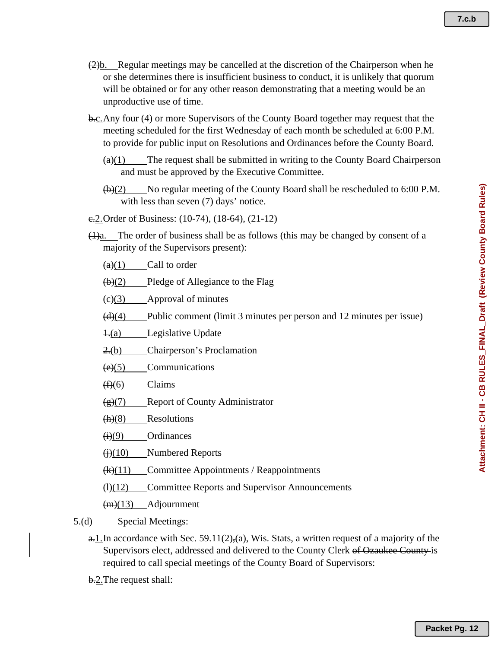- **7.c.b**
- (2)b. Regular meetings may be cancelled at the discretion of the Chairperson when he or she determines there is insufficient business to conduct, it is unlikely that quorum will be obtained or for any other reason demonstrating that a meeting would be an unproductive use of time.
- b.c.Any four (4) or more Supervisors of the County Board together may request that the meeting scheduled for the first Wednesday of each month be scheduled at 6:00 P.M. to provide for public input on Resolutions and Ordinances before the County Board.
	- $\left(\frac{a}{b}\right)(1)$  The request shall be submitted in writing to the County Board Chairperson and must be approved by the Executive Committee.
	- $(\theta)(2)$  No regular meeting of the County Board shall be rescheduled to 6:00 P.M. with less than seven (7) days' notice.
- e. 2. Order of Business: (10-74), (18-64), (21-12)
- $(1)$ a. The order of business shall be as follows (this may be changed by consent of a majority of the Supervisors present):

 $\left(\frac{a}{1}\right)$  Call to order

- $(b)(2)$  Pledge of Allegiance to the Flag
- $\left(\frac{c}{c}\right)$  Approval of minutes
- $\left(\frac{d}{d}\right)$  Public comment (limit 3 minutes per person and 12 minutes per issue)
- $\pm$ (a) Legislative Update
- 2.(b) Chairperson's Proclamation
- $(e)(5)$  Communications
- $(f)(6)$  Claims
- $(g)(7)$  Report of County Administrator
- $(h)(8)$  Resolutions
- $\leftrightarrow$ (9) Ordinances
- $\leftrightarrow$  (i)(10) Numbered Reports
- $(k)(11)$  Committee Appointments / Reappointments
- $\bigoplus_{k=1}^{\infty}$  Committee Reports and Supervisor Announcements

 $(m)(13)$  Adjournment

- $\frac{5 \cdot (d)}{2}$  Special Meetings:
	- $a-1$ . In accordance with Sec. 59.11(2), (a), Wis. Stats, a written request of a majority of the Supervisors elect, addressed and delivered to the County Clerk of Ozaukee County is required to call special meetings of the County Board of Supervisors:
	- b.2.The request shall: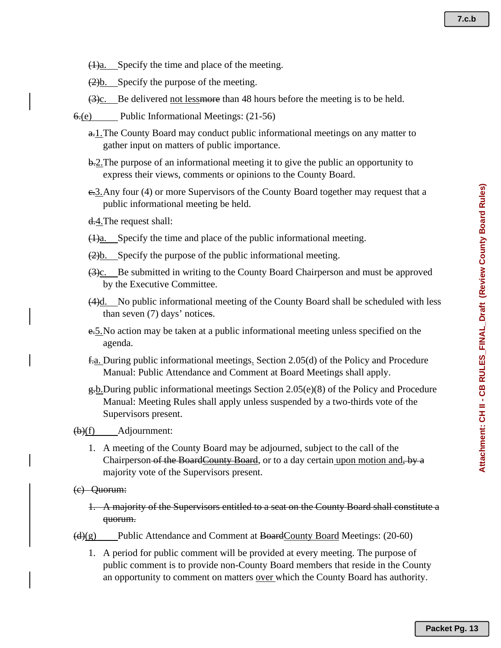- $\frac{1}{a}$ . Specify the time and place of the meeting.
- $\frac{2}{b}$ . Specify the purpose of the meeting.
- $(3)c$ . Be delivered not lessmore than 48 hours before the meeting is to be held.
- 6.(e) Public Informational Meetings: (21-56)
	- a.1.The County Board may conduct public informational meetings on any matter to gather input on matters of public importance.
	- b.2. The purpose of an informational meeting it to give the public an opportunity to express their views, comments or opinions to the County Board.
	- e.3.Any four (4) or more Supervisors of the County Board together may request that a public informational meeting be held.
	- d.4.The request shall:
	- (1)a. Specify the time and place of the public informational meeting.
	- $(2)$ b. Specify the purpose of the public informational meeting.
	- $\frac{3c}{2c}$ . Be submitted in writing to the County Board Chairperson and must be approved by the Executive Committee.
	- (4)d. No public informational meeting of the County Board shall be scheduled with less than seven (7) days' notices.
	- e.5.No action may be taken at a public informational meeting unless specified on the agenda.
	- f.a. During public informational meetings. Section 2.05(d) of the Policy and Procedure Manual: Public Attendance and Comment at Board Meetings shall apply.
	- $g(b)$ During public informational meetings Section 2.05(e)(8) of the Policy and Procedure Manual: Meeting Rules shall apply unless suspended by a two-thirds vote of the Supervisors present.

 $\bigoplus(f)$  Adjournment:

- 1. A meeting of the County Board may be adjourned, subject to the call of the Chairperson of the BoardCounty Board, or to a day certain upon motion and, by a majority vote of the Supervisors present.
- (c) Quorum:
	- 1. A majority of the Supervisors entitled to a seat on the County Board shall constitute a quorum.
- $\left(\frac{d}{g}\right)$  Public Attendance and Comment at BoardCounty Board Meetings: (20-60)
	- 1. A period for public comment will be provided at every meeting. The purpose of public comment is to provide non-County Board members that reside in the County an opportunity to comment on matters <u>over</u> which the County Board has authority.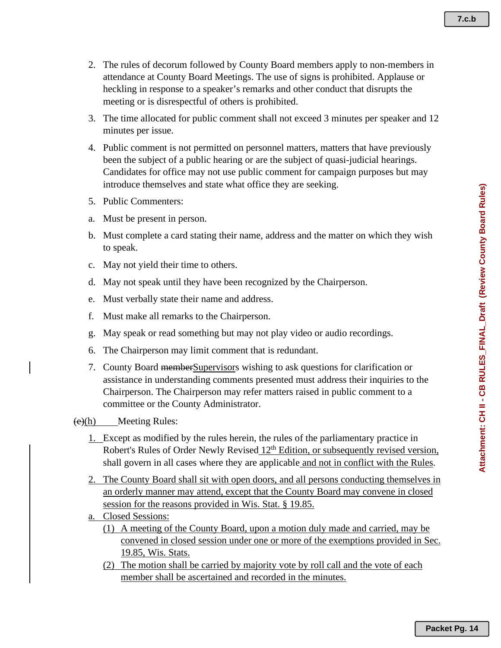- 2. The rules of decorum followed by County Board members apply to non-members in attendance at County Board Meetings. The use of signs is prohibited. Applause or heckling in response to a speaker's remarks and other conduct that disrupts the meeting or is disrespectful of others is prohibited.
- 3. The time allocated for public comment shall not exceed 3 minutes per speaker and 12 minutes per issue.
- 4. Public comment is not permitted on personnel matters, matters that have previously been the subject of a public hearing or are the subject of quasi-judicial hearings. Candidates for office may not use public comment for campaign purposes but may introduce themselves and state what office they are seeking.
- 5. Public Commenters:
- a. Must be present in person.
- b. Must complete a card stating their name, address and the matter on which they wish to speak.
- c. May not yield their time to others.
- d. May not speak until they have been recognized by the Chairperson.
- e. Must verbally state their name and address.
- f. Must make all remarks to the Chairperson.
- g. May speak or read something but may not play video or audio recordings.
- 6. The Chairperson may limit comment that is redundant.
- 7. County Board memberSupervisors wishing to ask questions for clarification or assistance in understanding comments presented must address their inquiries to the Chairperson. The Chairperson may refer matters raised in public comment to a committee or the County Administrator.
- $(e)(h)$  Meeting Rules:
	- 1. Except as modified by the rules herein, the rules of the parliamentary practice in Robert's Rules of Order Newly Revised 12<sup>th</sup> Edition, or subsequently revised version, shall govern in all cases where they are applicable and not in conflict with the Rules.
	- 2. The County Board shall sit with open doors, and all persons conducting themselves in an orderly manner may attend, except that the County Board may convene in closed session for the reasons provided in Wis. Stat. § 19.85.
	- a. Closed Sessions:
		- (1) A meeting of the County Board, upon a motion duly made and carried, may be convened in closed session under one or more of the exemptions provided in Sec. 19.85, Wis. Stats.
		- (2) The motion shall be carried by majority vote by roll call and the vote of each member shall be ascertained and recorded in the minutes.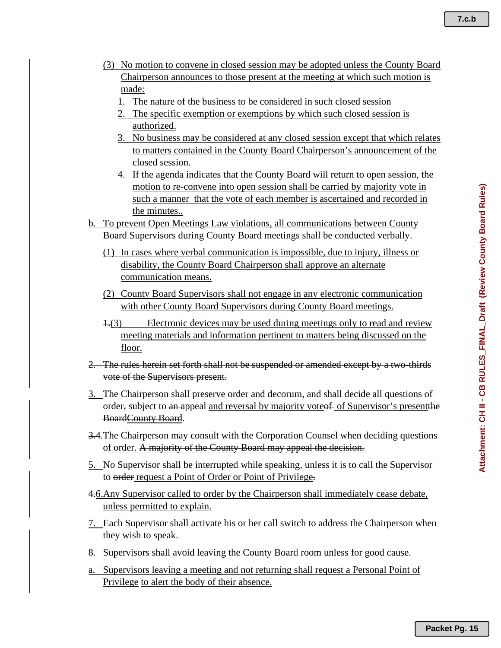- (3) No motion to convene in closed session may be adopted unless the County Board Chairperson announces to those present at the meeting at which such motion is made:
	- 1. The nature of the business to be considered in such closed session
	- 2. The specific exemption or exemptions by which such closed session is authorized.
	- 3. No business may be considered at any closed session except that which relates to matters contained in the County Board Chairperson's announcement of the closed session.
	- 4. If the agenda indicates that the County Board will return to open session, the motion to re-convene into open session shall be carried by majority vote in such a manner that the vote of each member is ascertained and recorded in the minutes..
- b. To prevent Open Meetings Law violations, all communications between County Board Supervisors during County Board meetings shall be conducted verbally.
	- (1) In cases where verbal communication is impossible, due to injury, illness or disability, the County Board Chairperson shall approve an alternate communication means.
	- (2) County Board Supervisors shall not engage in any electronic communication with other County Board Supervisors during County Board meetings.
	- 1.(3) Electronic devices may be used during meetings only to read and review meeting materials and information pertinent to matters being discussed on the floor.
- 2. The rules herein set forth shall not be suspended or amended except by a two-thirds vote of the Supervisors present.
- 3. The Chairperson shall preserve order and decorum, and shall decide all questions of order, subject to an appeal and reversal by majority vote of Supervisor's present BoardCounty Board.
- 3.4.The Chairperson may consult with the Corporation Counsel when deciding questions of order. A majority of the County Board may appeal the decision.
- 5. No Supervisor shall be interrupted while speaking, unless it is to call the Supervisor to order request a Point of Order or Point of Privilege.
- 4.6.Any Supervisor called to order by the Chairperson shall immediately cease debate, unless permitted to explain.
- 7. Each Supervisor shall activate his or her call switch to address the Chairperson when they wish to speak.
- 8. Supervisors shall avoid leaving the County Board room unless for good cause.
- a. Supervisors leaving a meeting and not returning shall request a Personal Point of Privilege to alert the body of their absence.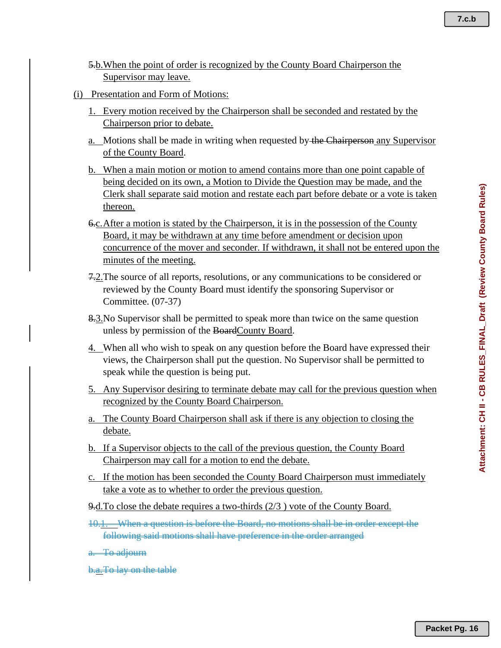- 5.b.When the point of order is recognized by the County Board Chairperson the Supervisor may leave.
- (i) Presentation and Form of Motions:
	- 1. Every motion received by the Chairperson shall be seconded and restated by the Chairperson prior to debate.
	- a. Motions shall be made in writing when requested by the Chairperson any Supervisor of the County Board.
	- b. When a main motion or motion to amend contains more than one point capable of being decided on its own, a Motion to Divide the Question may be made, and the Clerk shall separate said motion and restate each part before debate or a vote is taken thereon.
	- 6.c.After a motion is stated by the Chairperson, it is in the possession of the County Board, it may be withdrawn at any time before amendment or decision upon concurrence of the mover and seconder. If withdrawn, it shall not be entered upon the minutes of the meeting.
	- 7.2. The source of all reports, resolutions, or any communications to be considered or reviewed by the County Board must identify the sponsoring Supervisor or Committee. (07-37)
	- 8.3.No Supervisor shall be permitted to speak more than twice on the same question unless by permission of the BoardCounty Board.
	- 4. When all who wish to speak on any question before the Board have expressed their views, the Chairperson shall put the question. No Supervisor shall be permitted to speak while the question is being put.
	- 5. Any Supervisor desiring to terminate debate may call for the previous question when recognized by the County Board Chairperson.
	- a. The County Board Chairperson shall ask if there is any objection to closing the debate.
	- b. If a Supervisor objects to the call of the previous question, the County Board Chairperson may call for a motion to end the debate.
	- c. If the motion has been seconded the County Board Chairperson must immediately take a vote as to whether to order the previous question.
	- 9.d.To close the debate requires a two-thirds (2/3 ) vote of the County Board.
	- 10.1. When a question is before the Board, no motions shall be in order except the following said motions shall have preference in the order arranged
	- To adjourn
	- b.a.To lay on the table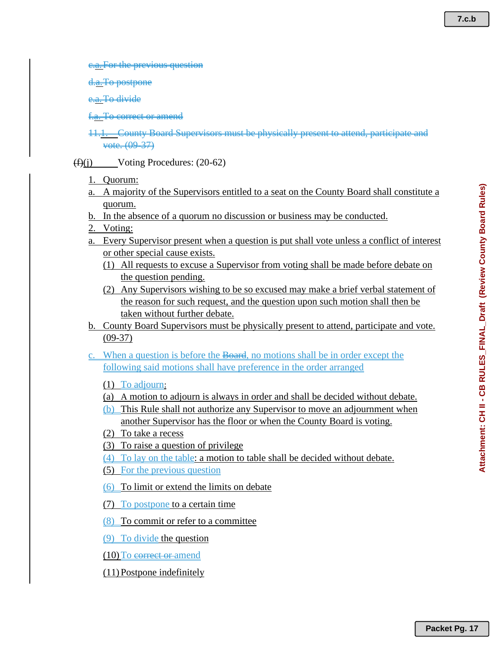<del>previous questi</del>

**postpone** 

<del>To divide</del>

To correct or amend

11.1. County Board Supervisors must be physically present to attend, participate and vote. (09-37)

 $(f)(i)$  Voting Procedures: (20-62)

- 1. Quorum:
- a. A majority of the Supervisors entitled to a seat on the County Board shall constitute a quorum.
- b. In the absence of a quorum no discussion or business may be conducted.
- 2. Voting:
- a. Every Supervisor present when a question is put shall vote unless a conflict of interest or other special cause exists.
	- (1) All requests to excuse a Supervisor from voting shall be made before debate on the question pending.
	- (2) Any Supervisors wishing to be so excused may make a brief verbal statement of the reason for such request, and the question upon such motion shall then be taken without further debate.
- b. County Board Supervisors must be physically present to attend, participate and vote. (09-37)
- c. When a question is before the Board, no motions shall be in order except the following said motions shall have preference in the order arranged
	- (1) To adjourn:
	- (a) A motion to adjourn is always in order and shall be decided without debate.
	- (b) This Rule shall not authorize any Supervisor to move an adjournment when another Supervisor has the floor or when the County Board is voting.
	- (2) To take a recess
	- (3) To raise a question of privilege
	- (4) To lay on the table: a motion to table shall be decided without debate.
	- (5) For the previous question
	- (6) To limit or extend the limits on debate
	- (7) To postpone to a certain time
	- (8) To commit or refer to a committee
	- (9) To divide the question
	- (10) To correct or amend
	- (11)Postpone indefinitely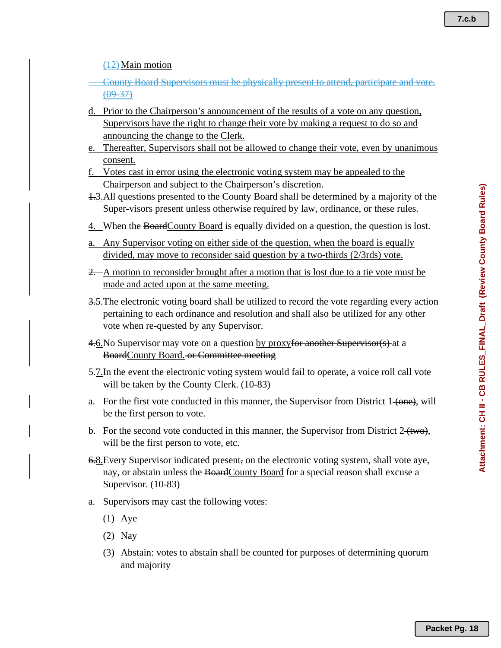(12)Main motion

County Board Supervisors must be physically present to attend, participate and vote. (09-37)

- d. Prior to the Chairperson's announcement of the results of a vote on any question, Supervisors have the right to change their vote by making a request to do so and announcing the change to the Clerk.
- e. Thereafter, Supervisors shall not be allowed to change their vote, even by unanimous consent.
- f. Votes cast in error using the electronic voting system may be appealed to the Chairperson and subject to the Chairperson's discretion.
- 1.3.All questions presented to the County Board shall be determined by a majority of the Super-visors present unless otherwise required by law, ordinance, or these rules.
- 4. When the BoardCounty Board is equally divided on a question, the question is lost.
- a. Any Supervisor voting on either side of the question, when the board is equally divided, may move to reconsider said question by a two-thirds (2/3rds) vote.
- 2. A motion to reconsider brought after a motion that is lost due to a tie vote must be made and acted upon at the same meeting.
- 3.5.The electronic voting board shall be utilized to record the vote regarding every action pertaining to each ordinance and resolution and shall also be utilized for any other vote when re-quested by any Supervisor.
- 4.6. No Supervisor may vote on a question by proxyfor another Supervisor(s) at a BoardCounty Board. or Committee meeting
- 5.7.In the event the electronic voting system would fail to operate, a voice roll call vote will be taken by the County Clerk. (10-83)
- a. For the first vote conducted in this manner, the Supervisor from District  $1\leftarrow$  (one), will be the first person to vote.
- b. For the second vote conducted in this manner, the Supervisor from District  $2\left(\frac{t}{w}\right)$ , will be the first person to vote, etc.
- 6.8.Every Supervisor indicated present, on the electronic voting system, shall vote aye, nay, or abstain unless the BoardCounty Board for a special reason shall excuse a Supervisor. (10-83)
- a. Supervisors may cast the following votes:
	- (1) Aye
	- (2) Nay
	- (3) Abstain: votes to abstain shall be counted for purposes of determining quorum and majority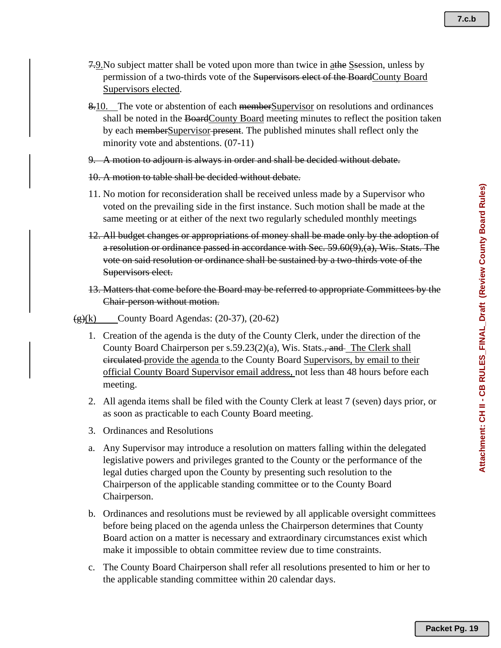- 7.9. No subject matter shall be voted upon more than twice in a the Ssession, unless by permission of a two-thirds vote of the Supervisors elect of the BoardCounty Board Supervisors elected.
- 8.10. The vote or abstention of each members upervisor on resolutions and ordinances shall be noted in the BoardCounty Board meeting minutes to reflect the position taken by each memberSupervisor present. The published minutes shall reflect only the minority vote and abstentions. (07-11)
- 9. A motion to adjourn is always in order and shall be decided without debate.
- 10. A motion to table shall be decided without debate.
- 11. No motion for reconsideration shall be received unless made by a Supervisor who voted on the prevailing side in the first instance. Such motion shall be made at the same meeting or at either of the next two regularly scheduled monthly meetings
- 12. All budget changes or appropriations of money shall be made only by the adoption of a resolution or ordinance passed in accordance with Sec. 59.60(9),(a), Wis. Stats. The vote on said resolution or ordinance shall be sustained by a two-thirds vote of the Supervisors elect.
- 13. Matters that come before the Board may be referred to appropriate Committees by the Chair-person without motion.
- $\left(\frac{g}{g}\right)$ (k) County Board Agendas: (20-37), (20-62)
	- 1. Creation of the agenda is the duty of the County Clerk, under the direction of the County Board Chairperson per s.59.23(2)(a), Wis. Stats., and The Clerk shall eirculated provide the agenda to the County Board Supervisors, by email to their official County Board Supervisor email address, not less than 48 hours before each meeting.
	- 2. All agenda items shall be filed with the County Clerk at least 7 (seven) days prior, or as soon as practicable to each County Board meeting.
	- 3. Ordinances and Resolutions
	- a. Any Supervisor may introduce a resolution on matters falling within the delegated legislative powers and privileges granted to the County or the performance of the legal duties charged upon the County by presenting such resolution to the Chairperson of the applicable standing committee or to the County Board Chairperson.
	- b. Ordinances and resolutions must be reviewed by all applicable oversight committees before being placed on the agenda unless the Chairperson determines that County Board action on a matter is necessary and extraordinary circumstances exist which make it impossible to obtain committee review due to time constraints.
	- c. The County Board Chairperson shall refer all resolutions presented to him or her to the applicable standing committee within 20 calendar days.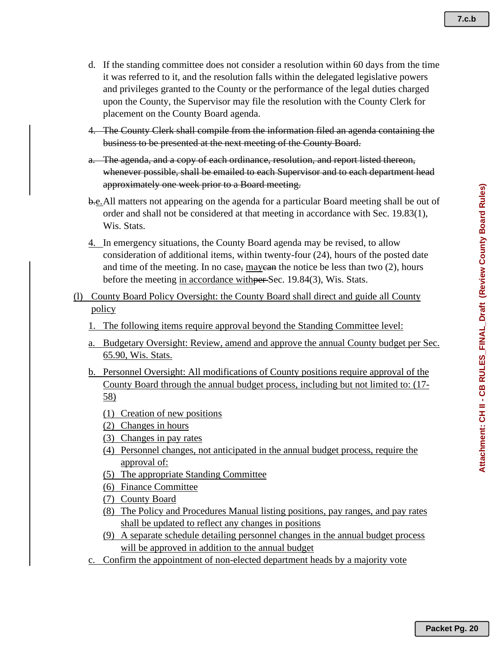- **7.c.b**
- d. If the standing committee does not consider a resolution within 60 days from the time it was referred to it, and the resolution falls within the delegated legislative powers and privileges granted to the County or the performance of the legal duties charged upon the County, the Supervisor may file the resolution with the County Clerk for placement on the County Board agenda.
- 4. The County Clerk shall compile from the information filed an agenda containing the business to be presented at the next meeting of the County Board.
- a. The agenda, and a copy of each ordinance, resolution, and report listed thereon, whenever possible, shall be emailed to each Supervisor and to each department head approximately one week prior to a Board meeting.
- b.e.All matters not appearing on the agenda for a particular Board meeting shall be out of order and shall not be considered at that meeting in accordance with Sec. 19.83(1), Wis. Stats.
- 4. In emergency situations, the County Board agenda may be revised, to allow consideration of additional items, within twenty-four (24), hours of the posted date and time of the meeting. In no case, may can the notice be less than two  $(2)$ , hours before the meeting in accordance with per Sec. 19.84(3), Wis. Stats.
- (l) County Board Policy Oversight: the County Board shall direct and guide all County policy
	- 1. The following items require approval beyond the Standing Committee level:
	- a. Budgetary Oversight: Review, amend and approve the annual County budget per Sec. 65.90, Wis. Stats.
	- b. Personnel Oversight: All modifications of County positions require approval of the County Board through the annual budget process, including but not limited to: (17- 58)
		- (1) Creation of new positions
		- (2) Changes in hours
		- (3) Changes in pay rates
		- (4) Personnel changes, not anticipated in the annual budget process, require the approval of:
		- (5) The appropriate Standing Committee
		- (6) Finance Committee
		- (7) County Board
		- (8) The Policy and Procedures Manual listing positions, pay ranges, and pay rates shall be updated to reflect any changes in positions
		- (9) A separate schedule detailing personnel changes in the annual budget process will be approved in addition to the annual budget
	- c. Confirm the appointment of non-elected department heads by a majority vote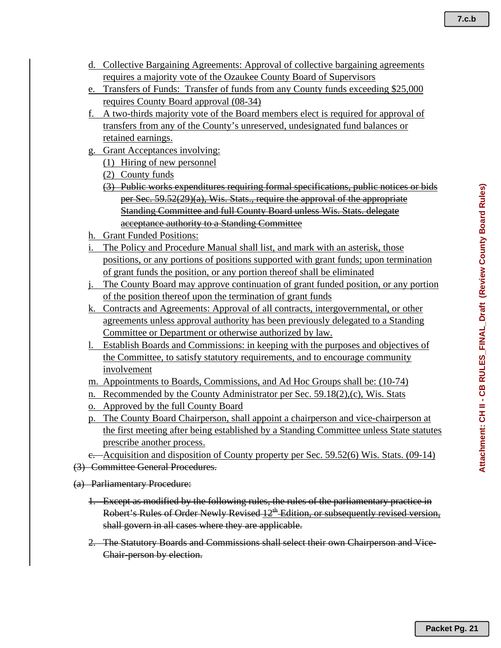- 
- d. Collective Bargaining Agreements: Approval of collective bargaining agreements requires a majority vote of the Ozaukee County Board of Supervisors
- e. Transfers of Funds: Transfer of funds from any County funds exceeding \$25,000 requires County Board approval (08-34)
- f. A two-thirds majority vote of the Board members elect is required for approval of transfers from any of the County's unreserved, undesignated fund balances or retained earnings.
- g. Grant Acceptances involving:
	- (1) Hiring of new personnel
	- (2) County funds
	- (3) Public works expenditures requiring formal specifications, public notices or bids per Sec. 59.52(29)(a), Wis. Stats., require the approval of the appropriate Standing Committee and full County Board unless Wis. Stats. delegate acceptance authority to a Standing Committee
- h. Grant Funded Positions:
- i. The Policy and Procedure Manual shall list, and mark with an asterisk, those positions, or any portions of positions supported with grant funds; upon termination of grant funds the position, or any portion thereof shall be eliminated
- j. The County Board may approve continuation of grant funded position, or any portion of the position thereof upon the termination of grant funds
- k. Contracts and Agreements: Approval of all contracts, intergovernmental, or other agreements unless approval authority has been previously delegated to a Standing Committee or Department or otherwise authorized by law.
- l. Establish Boards and Commissions: in keeping with the purposes and objectives of the Committee, to satisfy statutory requirements, and to encourage community involvement
- m. Appointments to Boards, Commissions, and Ad Hoc Groups shall be: (10-74)
- n. Recommended by the County Administrator per Sec.  $59.18(2)$ , (c), Wis. Stats
- o. Approved by the full County Board
- p. The County Board Chairperson, shall appoint a chairperson and vice-chairperson at the first meeting after being established by a Standing Committee unless State statutes prescribe another process.
- e. Acquisition and disposition of County property per Sec. 59.52(6) Wis. Stats. (09-14)
- (3) Committee General Procedures.
- (a) Parliamentary Procedure:
	- 1. Except as modified by the following rules, the rules of the parliamentary practice in Robert's Rules of Order Newly Revised 12<sup>th</sup> Edition, or subsequently revised version, shall govern in all cases where they are applicable.
	- 2. The Statutory Boards and Commissions shall select their own Chairperson and Vice-Chair-person by election.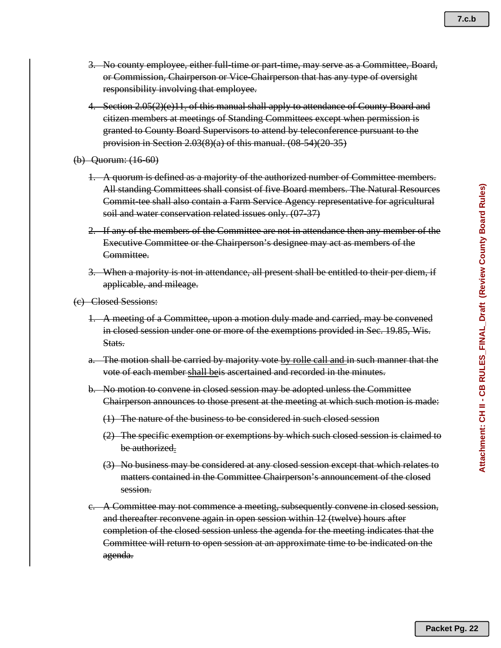- 3. No county employee, either full-time or part-time, may serve as a Committee, Board, or Commission, Chairperson or Vice-Chairperson that has any type of oversight responsibility involving that employee.
- 4. Section 2.05(2)(e)11. of this manual shall apply to attendance of County Board and citizen members at meetings of Standing Committees except when permission is granted to County Board Supervisors to attend by teleconference pursuant to the provision in Section 2.03(8)(a) of this manual. (08-54)(20-35)
- (b) Quorum: (16-60)
	- 1. A quorum is defined as a majority of the authorized number of Committee members. All standing Committees shall consist of five Board members. The Natural Resources Commit-tee shall also contain a Farm Service Agency representative for agricultural soil and water conservation related issues only. (07-37)
	- 2. If any of the members of the Committee are not in attendance then any member of the Executive Committee or the Chairperson's designee may act as members of the Committee.
	- 3. When a majority is not in attendance, all present shall be entitled to their per diem, if applicable, and mileage.
- (c) Closed Sessions:
	- 1. A meeting of a Committee, upon a motion duly made and carried, may be convened in closed session under one or more of the exemptions provided in Sec. 19.85, Wis. Stats.
	- a. The motion shall be carried by majority vote by rolle call and in such manner that the vote of each member shall beis ascertained and recorded in the minutes.
	- b. No motion to convene in closed session may be adopted unless the Committee Chairperson announces to those present at the meeting at which such motion is made:
		- (1) The nature of the business to be considered in such closed session
		- (2) The specific exemption or exemptions by which such closed session is claimed to be authorized.
		- (3) No business may be considered at any closed session except that which relates to matters contained in the Committee Chairperson's announcement of the closed session.
	- c. A Committee may not commence a meeting, subsequently convene in closed session, and thereafter reconvene again in open session within 12 (twelve) hours after completion of the closed session unless the agenda for the meeting indicates that the Committee will return to open session at an approximate time to be indicated on the agenda.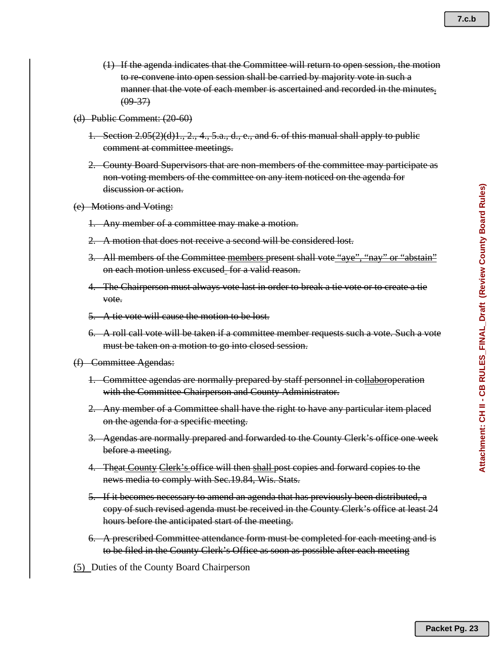- **7.c.b**
- (1) If the agenda indicates that the Committee will return to open session, the motion to re-convene into open session shall be carried by majority vote in such a manner that the vote of each member is ascertained and recorded in the minutes.  $(09 - 37)$
- (d) Public Comment: (20-60)
	- 1. Section  $2.05(2)(d)1, 2, 4, 5,a, d, e$ , and 6. of this manual shall apply to public comment at committee meetings.
	- 2. County Board Supervisors that are non-members of the committee may participate as non-voting members of the committee on any item noticed on the agenda for discussion or action.
- (e) Motions and Voting:
	- 1. Any member of a committee may make a motion.
	- 2. A motion that does not receive a second will be considered lost.
	- 3. All members of the Committee members present shall vote "aye", "nay" or "abstain" on each motion unless excused for a valid reason.
	- 4. The Chairperson must always vote last in order to break a tie vote or to create a tie vote.
	- 5. A tie vote will cause the motion to be lost.
	- 6. A roll call vote will be taken if a committee member requests such a vote. Such a vote must be taken on a motion to go into closed session.
- (f) Committee Agendas:
	- 1. Committee agendas are normally prepared by staff personnel in collaboroperation with the Committee Chairperson and County Administrator.
	- 2. Any member of a Committee shall have the right to have any particular item placed on the agenda for a specific meeting.
	- 3. Agendas are normally prepared and forwarded to the County Clerk's office one week before a meeting.
	- 4. Theat County Clerk's office will then shall post copies and forward copies to the news media to comply with Sec.19.84, Wis. Stats.
	- 5. If it becomes necessary to amend an agenda that has previously been distributed, a copy of such revised agenda must be received in the County Clerk's office at least 24 hours before the anticipated start of the meeting.
	- 6. A prescribed Committee attendance form must be completed for each meeting and is to be filed in the County Clerk's Office as soon as possible after each meeting
- (5) Duties of the County Board Chairperson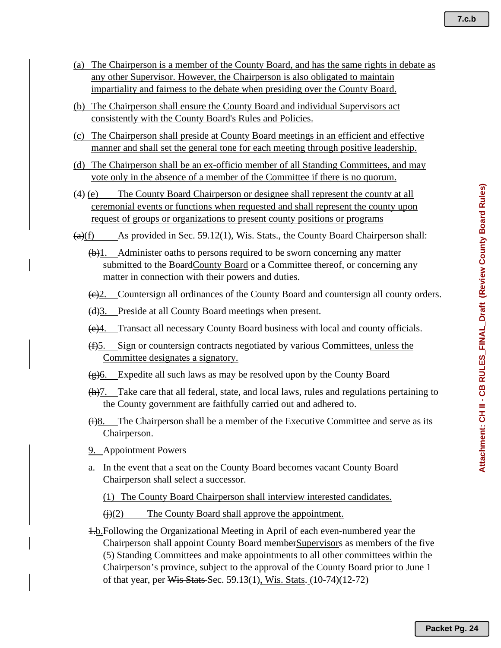Attachment: CH II - CB RULES\_FINAL\_Draft (Review County Board Rules) **Attachment: CH II - CB RULES\_FINAL\_Draft (Review County Board Rules)**

- (a) The Chairperson is a member of the County Board, and has the same rights in debate as any other Supervisor. However, the Chairperson is also obligated to maintain impartiality and fairness to the debate when presiding over the County Board.
- (b) The Chairperson shall ensure the County Board and individual Supervisors act consistently with the County Board's Rules and Policies.
- (c) The Chairperson shall preside at County Board meetings in an efficient and effective manner and shall set the general tone for each meeting through positive leadership.
- (d) The Chairperson shall be an ex-officio member of all Standing Committees, and may vote only in the absence of a member of the Committee if there is no quorum.
- $(4)$  (e) The County Board Chairperson or designee shall represent the county at all ceremonial events or functions when requested and shall represent the county upon request of groups or organizations to present county positions or programs
- $\left( \frac{a}{b} \right)$  (f) As provided in Sec. 59.12(1), Wis. Stats., the County Board Chairperson shall:
	- $(\theta)$ 1. Administer oaths to persons required to be sworn concerning any matter submitted to the BoardCounty Board or a Committee thereof, or concerning any matter in connection with their powers and duties.
	- (c)2. Countersign all ordinances of the County Board and countersign all county orders.
	- (d)3. Preside at all County Board meetings when present.
	- (e)4. Transact all necessary County Board business with local and county officials.
	- (f)5. Sign or countersign contracts negotiated by various Committees, unless the Committee designates a signatory.
	- $\left(\frac{g}{g}\right)$ 6. Expedite all such laws as may be resolved upon by the County Board
	- $(h)$ 7. Take care that all federal, state, and local laws, rules and regulations pertaining to the County government are faithfully carried out and adhered to.
	- $\leftrightarrow$ 8. The Chairperson shall be a member of the Executive Committee and serve as its Chairperson.
	- 9. Appointment Powers
	- a. In the event that a seat on the County Board becomes vacant County Board Chairperson shall select a successor.

(1) The County Board Chairperson shall interview interested candidates.

 $\overline{(i)(2)}$  The County Board shall approve the appointment.

1.b.Following the Organizational Meeting in April of each even-numbered year the Chairperson shall appoint County Board memberSupervisors as members of the five (5) Standing Committees and make appointments to all other committees within the Chairperson's province, subject to the approval of the County Board prior to June 1 of that year, per Wis Stats Sec. 59.13(1), Wis. Stats. (10-74)(12-72)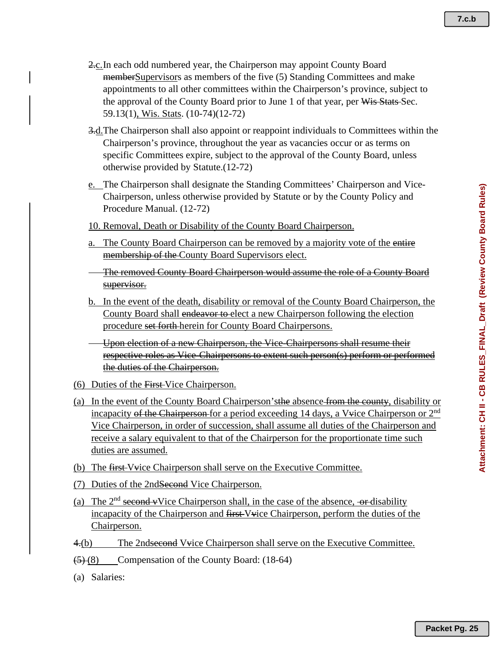- 2.c.In each odd numbered year, the Chairperson may appoint County Board memberSupervisors as members of the five (5) Standing Committees and make appointments to all other committees within the Chairperson's province, subject to the approval of the County Board prior to June 1 of that year, per Wis Stats-Sec. 59.13(1), Wis. Stats. (10-74)(12-72)
- 3.d. The Chairperson shall also appoint or reappoint individuals to Committees within the Chairperson's province, throughout the year as vacancies occur or as terms on specific Committees expire, subject to the approval of the County Board, unless otherwise provided by Statute.(12-72)
- e. The Chairperson shall designate the Standing Committees' Chairperson and Vice-Chairperson, unless otherwise provided by Statute or by the County Policy and Procedure Manual. (12-72)
- 10. Removal, Death or Disability of the County Board Chairperson.
- a. The County Board Chairperson can be removed by a majority vote of the entire membership of the County Board Supervisors elect.
- The removed County Board Chairperson would assume the role of a County Board supervisor.
- b. In the event of the death, disability or removal of the County Board Chairperson, the County Board shall endeavor to elect a new Chairperson following the election procedure set forth herein for County Board Chairpersons.
- Upon election of a new Chairperson, the Vice-Chairpersons shall resume their respective roles as Vice-Chairpersons to extent such person(s) perform or performed the duties of the Chairperson.
- (6) Duties of the First Vice Chairperson.
- (a) In the event of the County Board Chairperson'sthe absence from the county, disability or incapacity of the Chairperson for a period exceeding 14 days, a V $\psi$ ice Chairperson or  $2<sup>nd</sup>$ Vice Chairperson, in order of succession, shall assume all duties of the Chairperson and receive a salary equivalent to that of the Chairperson for the proportionate time such duties are assumed.
- (b) The first Vvice Chairperson shall serve on the Executive Committee.
- (7) Duties of the 2ndSecond Vice Chairperson.
- (a) The  $2<sup>nd</sup>$  second vVice Chairperson shall, in the case of the absence, or-disability incapacity of the Chairperson and first Vvice Chairperson, perform the duties of the Chairperson.
- $4.6$ ) The 2ndsecond V $\psi$ ice Chairperson shall serve on the Executive Committee.
- $\left( \frac{5}{6} \right)$  (8) Compensation of the County Board: (18-64)
- (a) Salaries: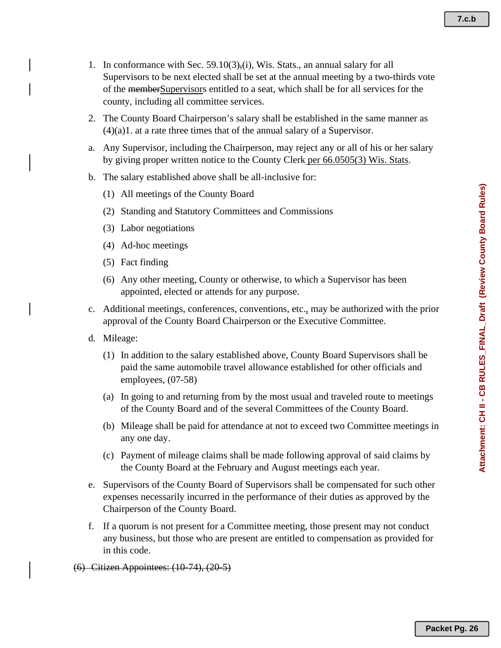- 1. In conformance with Sec. 59.10(3),(i), Wis. Stats., an annual salary for all Supervisors to be next elected shall be set at the annual meeting by a two-thirds vote of the memberSupervisors entitled to a seat, which shall be for all services for the county, including all committee services.
- 2. The County Board Chairperson's salary shall be established in the same manner as  $(4)(a)1$ . at a rate three times that of the annual salary of a Supervisor.
- a. Any Supervisor, including the Chairperson, may reject any or all of his or her salary by giving proper written notice to the County Clerk per 66.0505(3) Wis. Stats.
- b. The salary established above shall be all-inclusive for:
	- (1) All meetings of the County Board
	- (2) Standing and Statutory Committees and Commissions
	- (3) Labor negotiations
	- (4) Ad-hoc meetings
	- (5) Fact finding
	- (6) Any other meeting, County or otherwise, to which a Supervisor has been appointed, elected or attends for any purpose.
- c. Additional meetings, conferences, conventions, etc., may be authorized with the prior approval of the County Board Chairperson or the Executive Committee.
- d. Mileage:
	- (1) In addition to the salary established above, County Board Supervisors shall be paid the same automobile travel allowance established for other officials and employees, (07-58)
	- (a) In going to and returning from by the most usual and traveled route to meetings of the County Board and of the several Committees of the County Board.
	- (b) Mileage shall be paid for attendance at not to exceed two Committee meetings in any one day.
	- (c) Payment of mileage claims shall be made following approval of said claims by the County Board at the February and August meetings each year.
- e. Supervisors of the County Board of Supervisors shall be compensated for such other expenses necessarily incurred in the performance of their duties as approved by the Chairperson of the County Board.
- f. If a quorum is not present for a Committee meeting, those present may not conduct any business, but those who are present are entitled to compensation as provided for in this code.
- (6) Citizen Appointees: (10-74), (20-5)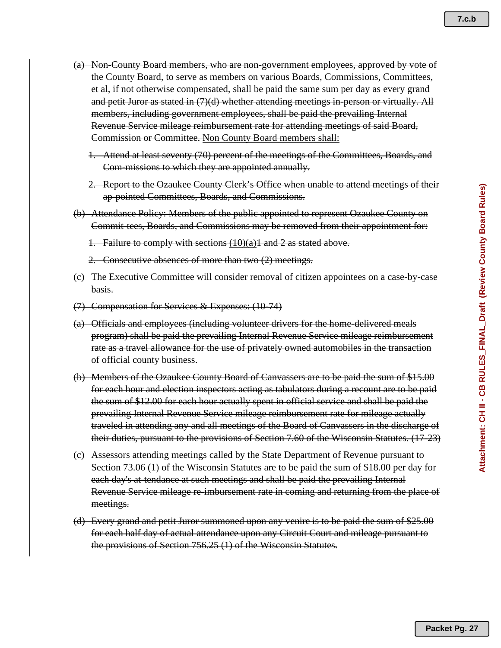- (a) Non-County Board members, who are non-government employees, approved by vote of the County Board, to serve as members on various Boards, Commissions, Committees, et al, if not otherwise compensated, shall be paid the same sum per day as every grand and petit Juror as stated in (7)(d) whether attending meetings in-person or virtually. All members, including government employees, shall be paid the prevailing Internal Revenue Service mileage reimbursement rate for attending meetings of said Board, Commission or Committee. Non County Board members shall:
	- 1. Attend at least seventy (70) percent of the meetings of the Committees, Boards, and Com-missions to which they are appointed annually.
	- 2. Report to the Ozaukee County Clerk's Office when unable to attend meetings of their ap-pointed Committees, Boards, and Commissions.
- (b) Attendance Policy: Members of the public appointed to represent Ozaukee County on Commit-tees, Boards, and Commissions may be removed from their appointment for:
	- 1. Failure to comply with sections  $(10)(a)1$  and 2 as stated above.
	- 2. Consecutive absences of more than two (2) meetings.
- (c) The Executive Committee will consider removal of citizen appointees on a case-by-case basis.
- (7) Compensation for Services & Expenses: (10-74)
- (a) Officials and employees (including volunteer drivers for the home-delivered meals program) shall be paid the prevailing Internal Revenue Service mileage reimbursement rate as a travel allowance for the use of privately owned automobiles in the transaction of official county business.
- (b) Members of the Ozaukee County Board of Canvassers are to be paid the sum of \$15.00 for each hour and election inspectors acting as tabulators during a recount are to be paid the sum of \$12.00 for each hour actually spent in official service and shall be paid the prevailing Internal Revenue Service mileage reimbursement rate for mileage actually traveled in attending any and all meetings of the Board of Canvassers in the discharge of their duties, pursuant to the provisions of Section 7.60 of the Wisconsin Statutes. (17-23)
- (c) Assessors attending meetings called by the State Department of Revenue pursuant to Section 73.06 (1) of the Wisconsin Statutes are to be paid the sum of \$18.00 per day for each day's at tendance at such meetings and shall be paid the prevailing Internal Revenue Service mileage re-imbursement rate in coming and returning from the place of meetings.
- (d) Every grand and petit Juror summoned upon any venire is to be paid the sum of \$25.00 for each half day of actual attendance upon any Circuit Court and mileage pursuant to the provisions of Section 756.25 (1) of the Wisconsin Statutes.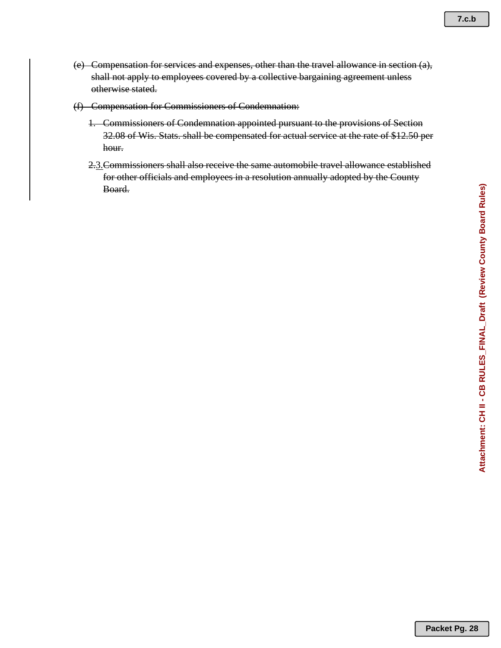- (e) Compensation for services and expenses, other than the travel allowance in section (a), shall not apply to employees covered by a collective bargaining agreement unless otherwise stated.
- (f) Compensation for Commissioners of Condemnation:
	- 1. Commissioners of Condemnation appointed pursuant to the provisions of Section 32.08 of Wis. Stats. shall be compensated for actual service at the rate of \$12.50 per hour.
	- 2.3.Commissioners shall also receive the same automobile travel allowance established for other officials and employees in a resolution annually adopted by the County Board.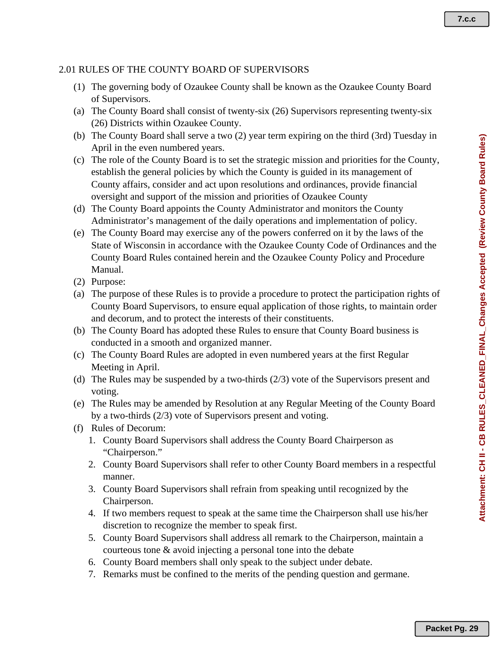### 2.01 RULES OF THE COUNTY BOARD OF SUPERVISORS

- (1) The governing body of Ozaukee County shall be known as the Ozaukee County Board of Supervisors.
- (a) The County Board shall consist of twenty-six (26) Supervisors representing twenty-six (26) Districts within Ozaukee County.
- (b) The County Board shall serve a two (2) year term expiring on the third (3rd) Tuesday in April in the even numbered years.
- (c) The role of the County Board is to set the strategic mission and priorities for the County, establish the general policies by which the County is guided in its management of County affairs, consider and act upon resolutions and ordinances, provide financial oversight and support of the mission and priorities of Ozaukee County
- (d) The County Board appoints the County Administrator and monitors the County Administrator's management of the daily operations and implementation of policy.
- (e) The County Board may exercise any of the powers conferred on it by the laws of the State of Wisconsin in accordance with the Ozaukee County Code of Ordinances and the County Board Rules contained herein and the Ozaukee County Policy and Procedure Manual.
- (2) Purpose:
- (a) The purpose of these Rules is to provide a procedure to protect the participation rights of County Board Supervisors, to ensure equal application of those rights, to maintain order and decorum, and to protect the interests of their constituents.
- (b) The County Board has adopted these Rules to ensure that County Board business is conducted in a smooth and organized manner.
- (c) The County Board Rules are adopted in even numbered years at the first Regular Meeting in April.
- (d) The Rules may be suspended by a two-thirds (2/3) vote of the Supervisors present and voting.
- (e) The Rules may be amended by Resolution at any Regular Meeting of the County Board by a two-thirds (2/3) vote of Supervisors present and voting.
- (f) Rules of Decorum:
	- 1. County Board Supervisors shall address the County Board Chairperson as "Chairperson."
	- 2. County Board Supervisors shall refer to other County Board members in a respectful manner.
	- 3. County Board Supervisors shall refrain from speaking until recognized by the Chairperson.
	- 4. If two members request to speak at the same time the Chairperson shall use his/her discretion to recognize the member to speak first.
	- 5. County Board Supervisors shall address all remark to the Chairperson, maintain a courteous tone & avoid injecting a personal tone into the debate
	- 6. County Board members shall only speak to the subject under debate.
	- 7. Remarks must be confined to the merits of the pending question and germane.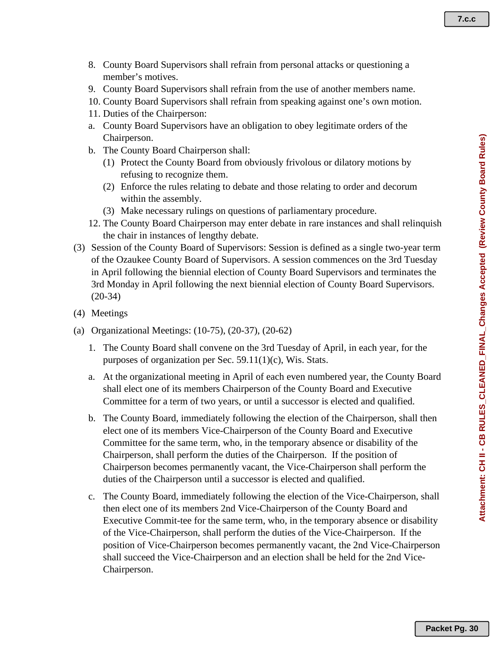- 8. County Board Supervisors shall refrain from personal attacks or questioning a member's motives.
- 9. County Board Supervisors shall refrain from the use of another members name.
- 10. County Board Supervisors shall refrain from speaking against one's own motion.
- 11. Duties of the Chairperson:
- a. County Board Supervisors have an obligation to obey legitimate orders of the Chairperson.
- b. The County Board Chairperson shall:
	- (1) Protect the County Board from obviously frivolous or dilatory motions by refusing to recognize them.
	- (2) Enforce the rules relating to debate and those relating to order and decorum within the assembly.
	- (3) Make necessary rulings on questions of parliamentary procedure.
- 12. The County Board Chairperson may enter debate in rare instances and shall relinquish the chair in instances of lengthy debate.
- (3) Session of the County Board of Supervisors: Session is defined as a single two-year term of the Ozaukee County Board of Supervisors. A session commences on the 3rd Tuesday in April following the biennial election of County Board Supervisors and terminates the 3rd Monday in April following the next biennial election of County Board Supervisors. (20-34)
- (4) Meetings
- (a) Organizational Meetings: (10-75), (20-37), (20-62)
	- 1. The County Board shall convene on the 3rd Tuesday of April, in each year, for the purposes of organization per Sec. 59.11(1)(c), Wis. Stats.
	- a. At the organizational meeting in April of each even numbered year, the County Board shall elect one of its members Chairperson of the County Board and Executive Committee for a term of two years, or until a successor is elected and qualified.
	- b. The County Board, immediately following the election of the Chairperson, shall then elect one of its members Vice-Chairperson of the County Board and Executive Committee for the same term, who, in the temporary absence or disability of the Chairperson, shall perform the duties of the Chairperson. If the position of Chairperson becomes permanently vacant, the Vice-Chairperson shall perform the duties of the Chairperson until a successor is elected and qualified.
	- c. The County Board, immediately following the election of the Vice-Chairperson, shall then elect one of its members 2nd Vice-Chairperson of the County Board and Executive Commit-tee for the same term, who, in the temporary absence or disability of the Vice-Chairperson, shall perform the duties of the Vice-Chairperson. If the position of Vice-Chairperson becomes permanently vacant, the 2nd Vice-Chairperson shall succeed the Vice-Chairperson and an election shall be held for the 2nd Vice-Chairperson.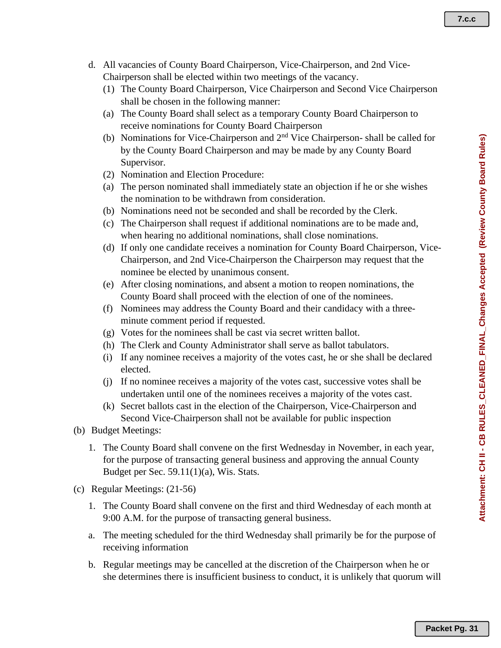- d. All vacancies of County Board Chairperson, Vice-Chairperson, and 2nd Vice-Chairperson shall be elected within two meetings of the vacancy.
	- (1) The County Board Chairperson, Vice Chairperson and Second Vice Chairperson shall be chosen in the following manner:
	- (a) The County Board shall select as a temporary County Board Chairperson to receive nominations for County Board Chairperson
	- (b) Nominations for Vice-Chairperson and 2nd Vice Chairperson- shall be called for by the County Board Chairperson and may be made by any County Board Supervisor.
	- (2) Nomination and Election Procedure:
	- (a) The person nominated shall immediately state an objection if he or she wishes the nomination to be withdrawn from consideration.
	- (b) Nominations need not be seconded and shall be recorded by the Clerk.
	- (c) The Chairperson shall request if additional nominations are to be made and, when hearing no additional nominations, shall close nominations.
	- (d) If only one candidate receives a nomination for County Board Chairperson, Vice-Chairperson, and 2nd Vice-Chairperson the Chairperson may request that the nominee be elected by unanimous consent.
	- (e) After closing nominations, and absent a motion to reopen nominations, the County Board shall proceed with the election of one of the nominees.
	- (f) Nominees may address the County Board and their candidacy with a threeminute comment period if requested.
	- (g) Votes for the nominees shall be cast via secret written ballot.
	- (h) The Clerk and County Administrator shall serve as ballot tabulators.
	- (i) If any nominee receives a majority of the votes cast, he or she shall be declared elected.
	- (j) If no nominee receives a majority of the votes cast, successive votes shall be undertaken until one of the nominees receives a majority of the votes cast.
	- (k) Secret ballots cast in the election of the Chairperson, Vice-Chairperson and Second Vice-Chairperson shall not be available for public inspection
- (b) Budget Meetings:
	- 1. The County Board shall convene on the first Wednesday in November, in each year, for the purpose of transacting general business and approving the annual County Budget per Sec. 59.11(1)(a), Wis. Stats.
- (c) Regular Meetings: (21-56)
	- 1. The County Board shall convene on the first and third Wednesday of each month at 9:00 A.M. for the purpose of transacting general business.
	- a. The meeting scheduled for the third Wednesday shall primarily be for the purpose of receiving information
	- b. Regular meetings may be cancelled at the discretion of the Chairperson when he or she determines there is insufficient business to conduct, it is unlikely that quorum will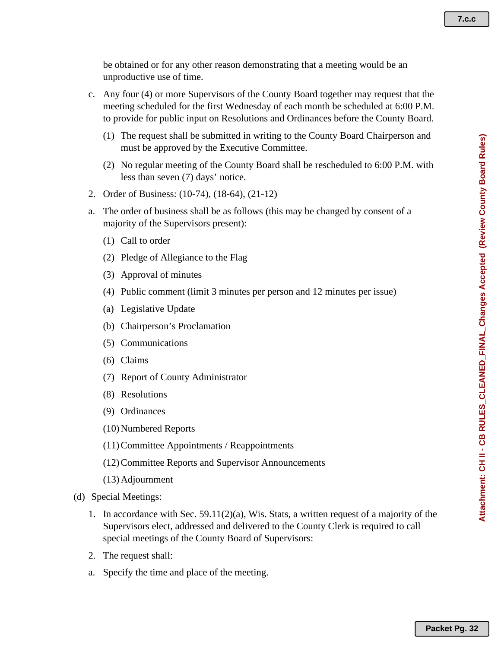be obtained or for any other reason demonstrating that a meeting would be an unproductive use of time.

- c. Any four (4) or more Supervisors of the County Board together may request that the meeting scheduled for the first Wednesday of each month be scheduled at 6:00 P.M. to provide for public input on Resolutions and Ordinances before the County Board.
	- (1) The request shall be submitted in writing to the County Board Chairperson and must be approved by the Executive Committee.
	- (2) No regular meeting of the County Board shall be rescheduled to 6:00 P.M. with less than seven (7) days' notice.
- 2. Order of Business: (10-74), (18-64), (21-12)
- a. The order of business shall be as follows (this may be changed by consent of a majority of the Supervisors present):
	- (1) Call to order
	- (2) Pledge of Allegiance to the Flag
	- (3) Approval of minutes
	- (4) Public comment (limit 3 minutes per person and 12 minutes per issue)
	- (a) Legislative Update
	- (b) Chairperson's Proclamation
	- (5) Communications
	- (6) Claims
	- (7) Report of County Administrator
	- (8) Resolutions
	- (9) Ordinances
	- (10)Numbered Reports
	- (11)Committee Appointments / Reappointments
	- (12)Committee Reports and Supervisor Announcements
	- (13)Adjournment
- (d) Special Meetings:
	- 1. In accordance with Sec.  $59.11(2)(a)$ , Wis. Stats, a written request of a majority of the Supervisors elect, addressed and delivered to the County Clerk is required to call special meetings of the County Board of Supervisors:
	- 2. The request shall:
	- a. Specify the time and place of the meeting.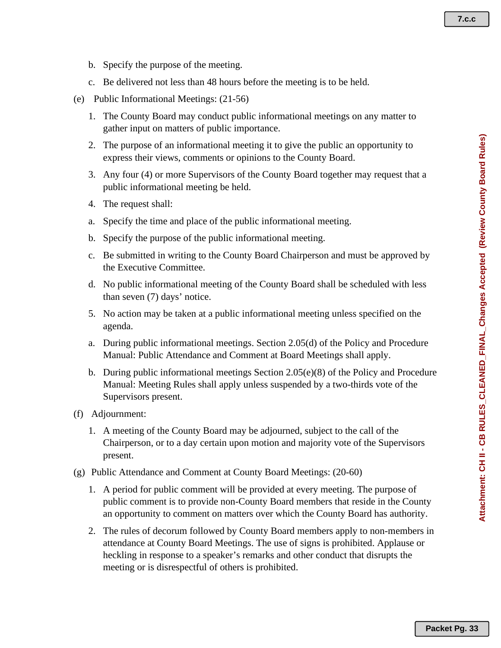Attachment: CH II - CB RULES\_CLEANED\_FINAL\_Changes Accepted (Review County Board Rules) **Attachment: CH II - CB RULES\_CLEANED\_FINAL\_Changes Accepted (Review County Board Rules)**

- b. Specify the purpose of the meeting.
- c. Be delivered not less than 48 hours before the meeting is to be held.
- (e) Public Informational Meetings: (21-56)
	- 1. The County Board may conduct public informational meetings on any matter to gather input on matters of public importance.
	- 2. The purpose of an informational meeting it to give the public an opportunity to express their views, comments or opinions to the County Board.
	- 3. Any four (4) or more Supervisors of the County Board together may request that a public informational meeting be held.
	- 4. The request shall:
	- a. Specify the time and place of the public informational meeting.
	- b. Specify the purpose of the public informational meeting.
	- c. Be submitted in writing to the County Board Chairperson and must be approved by the Executive Committee.
	- d. No public informational meeting of the County Board shall be scheduled with less than seven (7) days' notice.
	- 5. No action may be taken at a public informational meeting unless specified on the agenda.
	- a. During public informational meetings. Section 2.05(d) of the Policy and Procedure Manual: Public Attendance and Comment at Board Meetings shall apply.
	- b. During public informational meetings Section 2.05(e)(8) of the Policy and Procedure Manual: Meeting Rules shall apply unless suspended by a two-thirds vote of the Supervisors present.
- (f) Adjournment:
	- 1. A meeting of the County Board may be adjourned, subject to the call of the Chairperson, or to a day certain upon motion and majority vote of the Supervisors present.
- (g) Public Attendance and Comment at County Board Meetings: (20-60)
	- 1. A period for public comment will be provided at every meeting. The purpose of public comment is to provide non-County Board members that reside in the County an opportunity to comment on matters over which the County Board has authority.
	- 2. The rules of decorum followed by County Board members apply to non-members in attendance at County Board Meetings. The use of signs is prohibited. Applause or heckling in response to a speaker's remarks and other conduct that disrupts the meeting or is disrespectful of others is prohibited.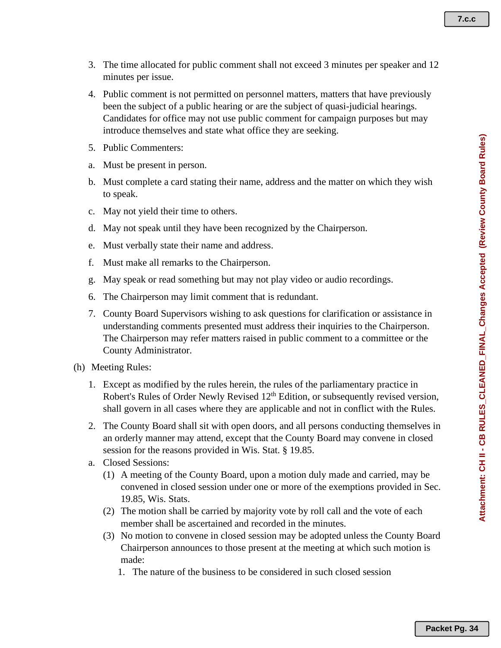- 3. The time allocated for public comment shall not exceed 3 minutes per speaker and 12 minutes per issue.
- 4. Public comment is not permitted on personnel matters, matters that have previously been the subject of a public hearing or are the subject of quasi-judicial hearings. Candidates for office may not use public comment for campaign purposes but may introduce themselves and state what office they are seeking.
- 5. Public Commenters:
- a. Must be present in person.
- b. Must complete a card stating their name, address and the matter on which they wish to speak.
- c. May not yield their time to others.
- d. May not speak until they have been recognized by the Chairperson.
- e. Must verbally state their name and address.
- f. Must make all remarks to the Chairperson.
- g. May speak or read something but may not play video or audio recordings.
- 6. The Chairperson may limit comment that is redundant.
- 7. County Board Supervisors wishing to ask questions for clarification or assistance in understanding comments presented must address their inquiries to the Chairperson. The Chairperson may refer matters raised in public comment to a committee or the County Administrator.
- (h) Meeting Rules:
	- 1. Except as modified by the rules herein, the rules of the parliamentary practice in Robert's Rules of Order Newly Revised 12<sup>th</sup> Edition, or subsequently revised version, shall govern in all cases where they are applicable and not in conflict with the Rules.
	- 2. The County Board shall sit with open doors, and all persons conducting themselves in an orderly manner may attend, except that the County Board may convene in closed session for the reasons provided in Wis. Stat. § 19.85.
	- a. Closed Sessions:
		- (1) A meeting of the County Board, upon a motion duly made and carried, may be convened in closed session under one or more of the exemptions provided in Sec. 19.85, Wis. Stats.
		- (2) The motion shall be carried by majority vote by roll call and the vote of each member shall be ascertained and recorded in the minutes.
		- (3) No motion to convene in closed session may be adopted unless the County Board Chairperson announces to those present at the meeting at which such motion is made:
			- 1. The nature of the business to be considered in such closed session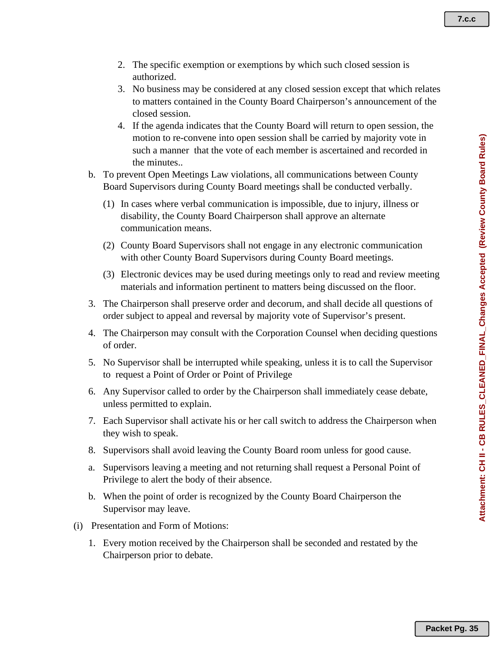- 2. The specific exemption or exemptions by which such closed session is authorized.
- 3. No business may be considered at any closed session except that which relates to matters contained in the County Board Chairperson's announcement of the closed session.
- 4. If the agenda indicates that the County Board will return to open session, the motion to re-convene into open session shall be carried by majority vote in such a manner that the vote of each member is ascertained and recorded in the minutes..
- b. To prevent Open Meetings Law violations, all communications between County Board Supervisors during County Board meetings shall be conducted verbally.
	- (1) In cases where verbal communication is impossible, due to injury, illness or disability, the County Board Chairperson shall approve an alternate communication means.
	- (2) County Board Supervisors shall not engage in any electronic communication with other County Board Supervisors during County Board meetings.
	- (3) Electronic devices may be used during meetings only to read and review meeting materials and information pertinent to matters being discussed on the floor.
- 3. The Chairperson shall preserve order and decorum, and shall decide all questions of order subject to appeal and reversal by majority vote of Supervisor's present.
- 4. The Chairperson may consult with the Corporation Counsel when deciding questions of order.
- 5. No Supervisor shall be interrupted while speaking, unless it is to call the Supervisor to request a Point of Order or Point of Privilege
- 6. Any Supervisor called to order by the Chairperson shall immediately cease debate, unless permitted to explain.
- 7. Each Supervisor shall activate his or her call switch to address the Chairperson when they wish to speak.
- 8. Supervisors shall avoid leaving the County Board room unless for good cause.
- a. Supervisors leaving a meeting and not returning shall request a Personal Point of Privilege to alert the body of their absence.
- b. When the point of order is recognized by the County Board Chairperson the Supervisor may leave.
- (i) Presentation and Form of Motions:
	- 1. Every motion received by the Chairperson shall be seconded and restated by the Chairperson prior to debate.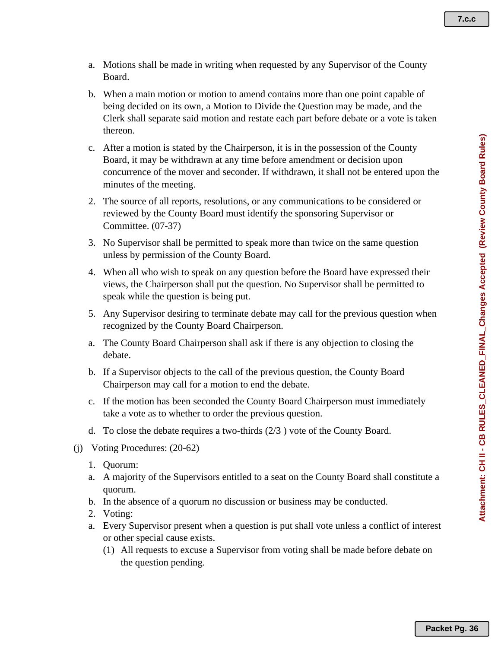- a. Motions shall be made in writing when requested by any Supervisor of the County Board.
- b. When a main motion or motion to amend contains more than one point capable of being decided on its own, a Motion to Divide the Question may be made, and the Clerk shall separate said motion and restate each part before debate or a vote is taken thereon.
- c. After a motion is stated by the Chairperson, it is in the possession of the County Board, it may be withdrawn at any time before amendment or decision upon concurrence of the mover and seconder. If withdrawn, it shall not be entered upon the minutes of the meeting.
- 2. The source of all reports, resolutions, or any communications to be considered or reviewed by the County Board must identify the sponsoring Supervisor or Committee. (07-37)
- 3. No Supervisor shall be permitted to speak more than twice on the same question unless by permission of the County Board.
- 4. When all who wish to speak on any question before the Board have expressed their views, the Chairperson shall put the question. No Supervisor shall be permitted to speak while the question is being put.
- 5. Any Supervisor desiring to terminate debate may call for the previous question when recognized by the County Board Chairperson.
- a. The County Board Chairperson shall ask if there is any objection to closing the debate.
- b. If a Supervisor objects to the call of the previous question, the County Board Chairperson may call for a motion to end the debate.
- c. If the motion has been seconded the County Board Chairperson must immediately take a vote as to whether to order the previous question.
- d. To close the debate requires a two-thirds (2/3 ) vote of the County Board.
- (j) Voting Procedures: (20-62)
	- 1. Quorum:
	- a. A majority of the Supervisors entitled to a seat on the County Board shall constitute a quorum.
	- b. In the absence of a quorum no discussion or business may be conducted.
	- 2. Voting:
	- a. Every Supervisor present when a question is put shall vote unless a conflict of interest or other special cause exists.
		- (1) All requests to excuse a Supervisor from voting shall be made before debate on the question pending.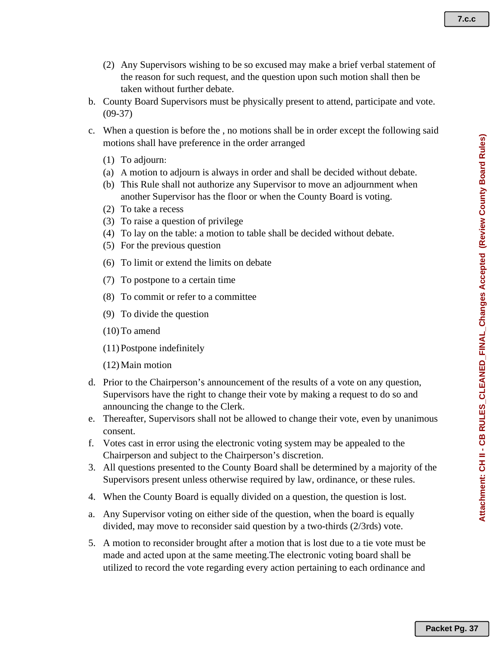- (2) Any Supervisors wishing to be so excused may make a brief verbal statement of the reason for such request, and the question upon such motion shall then be taken without further debate.
- b. County Board Supervisors must be physically present to attend, participate and vote. (09-37)
- c. When a question is before the , no motions shall be in order except the following said motions shall have preference in the order arranged
	- (1) To adjourn:
	- (a) A motion to adjourn is always in order and shall be decided without debate.
	- (b) This Rule shall not authorize any Supervisor to move an adjournment when another Supervisor has the floor or when the County Board is voting.
	- (2) To take a recess
	- (3) To raise a question of privilege
	- (4) To lay on the table: a motion to table shall be decided without debate.
	- (5) For the previous question
	- (6) To limit or extend the limits on debate
	- (7) To postpone to a certain time
	- (8) To commit or refer to a committee
	- (9) To divide the question
	- $(10)$  To amend
	- (11)Postpone indefinitely
	- (12)Main motion
- d. Prior to the Chairperson's announcement of the results of a vote on any question, Supervisors have the right to change their vote by making a request to do so and announcing the change to the Clerk.
- e. Thereafter, Supervisors shall not be allowed to change their vote, even by unanimous consent.
- f. Votes cast in error using the electronic voting system may be appealed to the Chairperson and subject to the Chairperson's discretion.
- 3. All questions presented to the County Board shall be determined by a majority of the Supervisors present unless otherwise required by law, ordinance, or these rules.
- 4. When the County Board is equally divided on a question, the question is lost.
- a. Any Supervisor voting on either side of the question, when the board is equally divided, may move to reconsider said question by a two-thirds (2/3rds) vote.
- 5. A motion to reconsider brought after a motion that is lost due to a tie vote must be made and acted upon at the same meeting.The electronic voting board shall be utilized to record the vote regarding every action pertaining to each ordinance and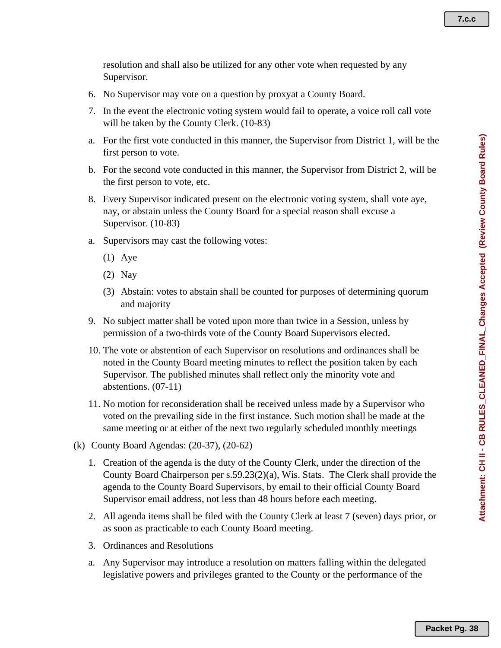resolution and shall also be utilized for any other vote when requested by any Supervisor.

- 6. No Supervisor may vote on a question by proxyat a County Board.
- 7. In the event the electronic voting system would fail to operate, a voice roll call vote will be taken by the County Clerk. (10-83)
- a. For the first vote conducted in this manner, the Supervisor from District 1, will be the first person to vote.
- b. For the second vote conducted in this manner, the Supervisor from District 2, will be the first person to vote, etc.
- 8. Every Supervisor indicated present on the electronic voting system, shall vote aye, nay, or abstain unless the County Board for a special reason shall excuse a Supervisor. (10-83)
- a. Supervisors may cast the following votes:
	- (1) Aye
	- (2) Nay
	- (3) Abstain: votes to abstain shall be counted for purposes of determining quorum and majority
- 9. No subject matter shall be voted upon more than twice in a Session, unless by permission of a two-thirds vote of the County Board Supervisors elected.
- 10. The vote or abstention of each Supervisor on resolutions and ordinances shall be noted in the County Board meeting minutes to reflect the position taken by each Supervisor. The published minutes shall reflect only the minority vote and abstentions. (07-11)
- 11. No motion for reconsideration shall be received unless made by a Supervisor who voted on the prevailing side in the first instance. Such motion shall be made at the same meeting or at either of the next two regularly scheduled monthly meetings
- (k) County Board Agendas: (20-37), (20-62)
	- 1. Creation of the agenda is the duty of the County Clerk, under the direction of the County Board Chairperson per s.59.23(2)(a), Wis. Stats. The Clerk shall provide the agenda to the County Board Supervisors, by email to their official County Board Supervisor email address, not less than 48 hours before each meeting.
	- 2. All agenda items shall be filed with the County Clerk at least 7 (seven) days prior, or as soon as practicable to each County Board meeting.
	- 3. Ordinances and Resolutions
	- a. Any Supervisor may introduce a resolution on matters falling within the delegated legislative powers and privileges granted to the County or the performance of the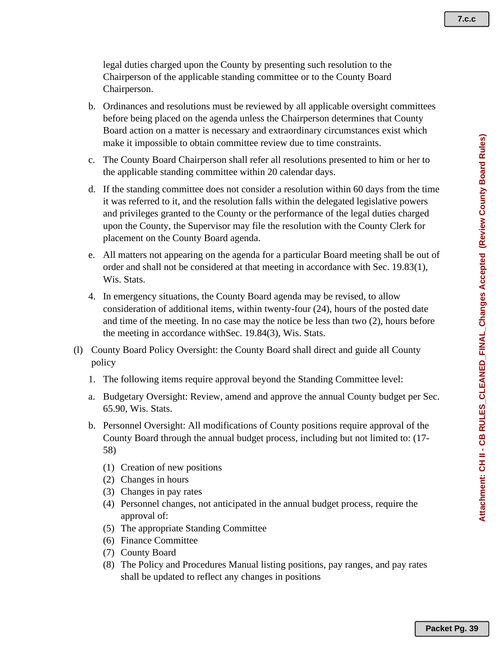legal duties charged upon the County by presenting such resolution to the Chairperson of the applicable standing committee or to the County Board Chairperson.

- b. Ordinances and resolutions must be reviewed by all applicable oversight committees before being placed on the agenda unless the Chairperson determines that County Board action on a matter is necessary and extraordinary circumstances exist which make it impossible to obtain committee review due to time constraints.
- c. The County Board Chairperson shall refer all resolutions presented to him or her to the applicable standing committee within 20 calendar days.
- d. If the standing committee does not consider a resolution within 60 days from the time it was referred to it, and the resolution falls within the delegated legislative powers and privileges granted to the County or the performance of the legal duties charged upon the County, the Supervisor may file the resolution with the County Clerk for placement on the County Board agenda.
- e. All matters not appearing on the agenda for a particular Board meeting shall be out of order and shall not be considered at that meeting in accordance with Sec. 19.83(1), Wis. Stats.
- 4. In emergency situations, the County Board agenda may be revised, to allow consideration of additional items, within twenty-four (24), hours of the posted date and time of the meeting. In no case may the notice be less than two (2), hours before the meeting in accordance withSec. 19.84(3), Wis. Stats.
- (l) County Board Policy Oversight: the County Board shall direct and guide all County policy
	- 1. The following items require approval beyond the Standing Committee level:
	- a. Budgetary Oversight: Review, amend and approve the annual County budget per Sec. 65.90, Wis. Stats.
	- b. Personnel Oversight: All modifications of County positions require approval of the County Board through the annual budget process, including but not limited to: (17- 58)
		- (1) Creation of new positions
		- (2) Changes in hours
		- (3) Changes in pay rates
		- (4) Personnel changes, not anticipated in the annual budget process, require the approval of:
		- (5) The appropriate Standing Committee
		- (6) Finance Committee
		- (7) County Board
		- (8) The Policy and Procedures Manual listing positions, pay ranges, and pay rates shall be updated to reflect any changes in positions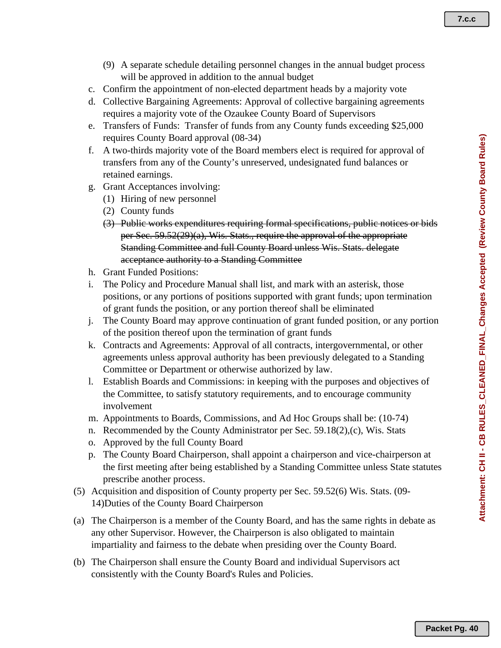**7.c.c**

- (9) A separate schedule detailing personnel changes in the annual budget process will be approved in addition to the annual budget
- c. Confirm the appointment of non-elected department heads by a majority vote
- d. Collective Bargaining Agreements: Approval of collective bargaining agreements requires a majority vote of the Ozaukee County Board of Supervisors
- e. Transfers of Funds: Transfer of funds from any County funds exceeding \$25,000 requires County Board approval (08-34)
- f. A two-thirds majority vote of the Board members elect is required for approval of transfers from any of the County's unreserved, undesignated fund balances or retained earnings.
- g. Grant Acceptances involving:
	- (1) Hiring of new personnel
		- (2) County funds
		- (3) Public works expenditures requiring formal specifications, public notices or bids per Sec. 59.52(29)(a), Wis. Stats., require the approval of the appropriate Standing Committee and full County Board unless Wis. Stats. delegate acceptance authority to a Standing Committee
- h. Grant Funded Positions:
- i. The Policy and Procedure Manual shall list, and mark with an asterisk, those positions, or any portions of positions supported with grant funds; upon termination of grant funds the position, or any portion thereof shall be eliminated
- j. The County Board may approve continuation of grant funded position, or any portion of the position thereof upon the termination of grant funds
- k. Contracts and Agreements: Approval of all contracts, intergovernmental, or other agreements unless approval authority has been previously delegated to a Standing Committee or Department or otherwise authorized by law.
- l. Establish Boards and Commissions: in keeping with the purposes and objectives of the Committee, to satisfy statutory requirements, and to encourage community involvement
- m. Appointments to Boards, Commissions, and Ad Hoc Groups shall be: (10-74)
- n. Recommended by the County Administrator per Sec. 59.18(2),(c), Wis. Stats
- o. Approved by the full County Board
- p. The County Board Chairperson, shall appoint a chairperson and vice-chairperson at the first meeting after being established by a Standing Committee unless State statutes prescribe another process.
- (5) Acquisition and disposition of County property per Sec. 59.52(6) Wis. Stats. (09- 14)Duties of the County Board Chairperson
- (a) The Chairperson is a member of the County Board, and has the same rights in debate as any other Supervisor. However, the Chairperson is also obligated to maintain impartiality and fairness to the debate when presiding over the County Board.
- (b) The Chairperson shall ensure the County Board and individual Supervisors act consistently with the County Board's Rules and Policies.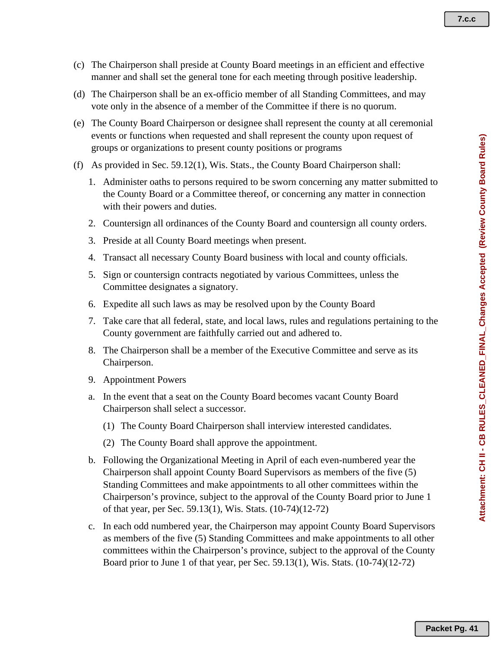- (c) The Chairperson shall preside at County Board meetings in an efficient and effective manner and shall set the general tone for each meeting through positive leadership.
- (d) The Chairperson shall be an ex-officio member of all Standing Committees, and may vote only in the absence of a member of the Committee if there is no quorum.
- (e) The County Board Chairperson or designee shall represent the county at all ceremonial events or functions when requested and shall represent the county upon request of groups or organizations to present county positions or programs
- (f) As provided in Sec. 59.12(1), Wis. Stats., the County Board Chairperson shall:
	- 1. Administer oaths to persons required to be sworn concerning any matter submitted to the County Board or a Committee thereof, or concerning any matter in connection with their powers and duties.
	- 2. Countersign all ordinances of the County Board and countersign all county orders.
	- 3. Preside at all County Board meetings when present.
	- 4. Transact all necessary County Board business with local and county officials.
	- 5. Sign or countersign contracts negotiated by various Committees, unless the Committee designates a signatory.
	- 6. Expedite all such laws as may be resolved upon by the County Board
	- 7. Take care that all federal, state, and local laws, rules and regulations pertaining to the County government are faithfully carried out and adhered to.
	- 8. The Chairperson shall be a member of the Executive Committee and serve as its Chairperson.
	- 9. Appointment Powers
	- a. In the event that a seat on the County Board becomes vacant County Board Chairperson shall select a successor.
		- (1) The County Board Chairperson shall interview interested candidates.
		- (2) The County Board shall approve the appointment.
	- b. Following the Organizational Meeting in April of each even-numbered year the Chairperson shall appoint County Board Supervisors as members of the five (5) Standing Committees and make appointments to all other committees within the Chairperson's province, subject to the approval of the County Board prior to June 1 of that year, per Sec. 59.13(1), Wis. Stats. (10-74)(12-72)
	- c. In each odd numbered year, the Chairperson may appoint County Board Supervisors as members of the five (5) Standing Committees and make appointments to all other committees within the Chairperson's province, subject to the approval of the County Board prior to June 1 of that year, per Sec. 59.13(1), Wis. Stats. (10-74)(12-72)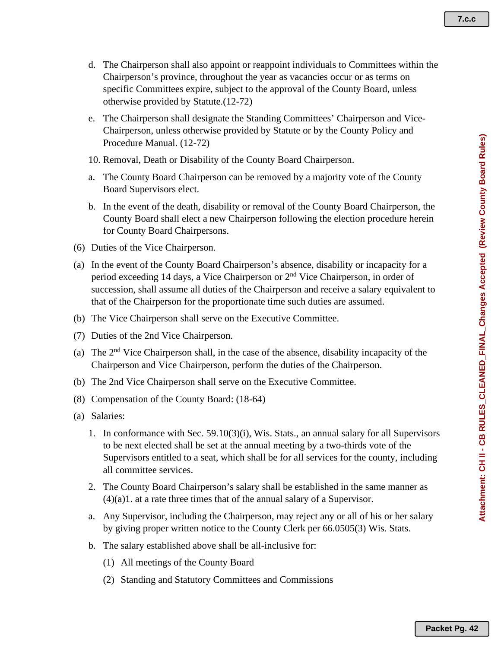- d. The Chairperson shall also appoint or reappoint individuals to Committees within the Chairperson's province, throughout the year as vacancies occur or as terms on specific Committees expire, subject to the approval of the County Board, unless otherwise provided by Statute.(12-72)
- e. The Chairperson shall designate the Standing Committees' Chairperson and Vice-Chairperson, unless otherwise provided by Statute or by the County Policy and Procedure Manual. (12-72)
- 10. Removal, Death or Disability of the County Board Chairperson.
- a. The County Board Chairperson can be removed by a majority vote of the County Board Supervisors elect.
- b. In the event of the death, disability or removal of the County Board Chairperson, the County Board shall elect a new Chairperson following the election procedure herein for County Board Chairpersons.
- (6) Duties of the Vice Chairperson.
- (a) In the event of the County Board Chairperson's absence, disability or incapacity for a period exceeding 14 days, a Vice Chairperson or 2nd Vice Chairperson, in order of succession, shall assume all duties of the Chairperson and receive a salary equivalent to that of the Chairperson for the proportionate time such duties are assumed.
- (b) The Vice Chairperson shall serve on the Executive Committee.
- (7) Duties of the 2nd Vice Chairperson.
- (a) The  $2<sup>nd</sup>$  Vice Chairperson shall, in the case of the absence, disability incapacity of the Chairperson and Vice Chairperson, perform the duties of the Chairperson.
- (b) The 2nd Vice Chairperson shall serve on the Executive Committee.
- (8) Compensation of the County Board: (18-64)
- (a) Salaries:
	- 1. In conformance with Sec. 59.10(3)(i), Wis. Stats., an annual salary for all Supervisors to be next elected shall be set at the annual meeting by a two-thirds vote of the Supervisors entitled to a seat, which shall be for all services for the county, including all committee services.
	- 2. The County Board Chairperson's salary shall be established in the same manner as (4)(a)1. at a rate three times that of the annual salary of a Supervisor.
	- a. Any Supervisor, including the Chairperson, may reject any or all of his or her salary by giving proper written notice to the County Clerk per 66.0505(3) Wis. Stats.
	- b. The salary established above shall be all-inclusive for:
		- (1) All meetings of the County Board
		- (2) Standing and Statutory Committees and Commissions